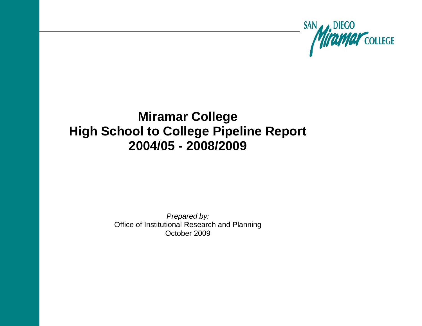

# **Miramar College High School to College Pipeline Report 2004/05 - 2008/2009**

*Prepared by:* Office of Institutional Research and Planning October 2009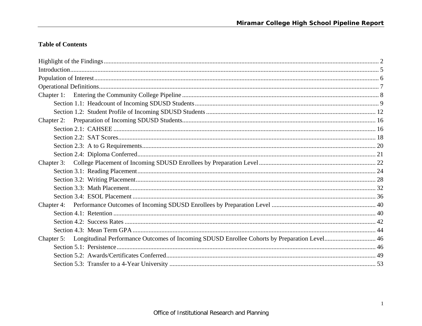# **Table of Contents**

| Chapter 5: Longitudinal Performance Outcomes of Incoming SDUSD Enrollee Cohorts by Preparation Level 46 |  |
|---------------------------------------------------------------------------------------------------------|--|
|                                                                                                         |  |
|                                                                                                         |  |
|                                                                                                         |  |
|                                                                                                         |  |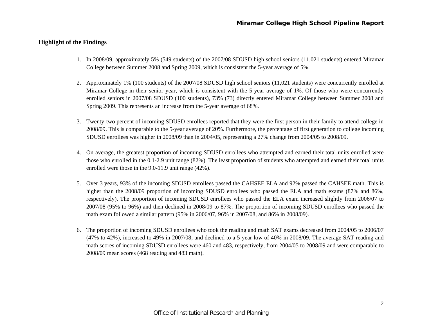# **Highlight of the Findings**

- 1. In 2008/09, approximately 5% (549 students) of the 2007/08 SDUSD high school seniors (11,021 students) entered Miramar College between Summer 2008 and Spring 2009, which is consistent the 5-year average of 5%.
- 2. Approximately 1% (100 students) of the 2007/08 SDUSD high school seniors (11,021 students) were concurrently enrolled at Miramar College in their senior year, which is consistent with the 5-year average of 1%. Of those who were concurrently enrolled seniors in 2007/08 SDUSD (100 students), 73% (73) directly entered Miramar College between Summer 2008 and Spring 2009. This represents an increase from the 5-year average of 68%.
- 3. Twenty-two percent of incoming SDUSD enrollees reported that they were the first person in their family to attend college in 2008/09. This is comparable to the 5-year average of 20%. Furthermore, the percentage of first generation to college incoming SDUSD enrollees was higher in 2008/09 than in 2004/05, representing a 27% change from 2004/05 to 2008/09.
- 4. On average, the greatest proportion of incoming SDUSD enrollees who attempted and earned their total units enrolled were those who enrolled in the 0.1-2.9 unit range (82%). The least proportion of students who attempted and earned their total units enrolled were those in the 9.0-11.9 unit range (42%).
- 5. Over 3 years, 93% of the incoming SDUSD enrollees passed the CAHSEE ELA and 92% passed the CAHSEE math. This is higher than the 2008/09 proportion of incoming SDUSD enrollees who passed the ELA and math exams (87% and 86%, respectively). The proportion of incoming SDUSD enrollees who passed the ELA exam increased slightly from 2006/07 to 2007/08 (95% to 96%) and then declined in 2008/09 to 87%. The proportion of incoming SDUSD enrollees who passed the math exam followed a similar pattern (95% in 2006/07, 96% in 2007/08, and 86% in 2008/09).
- 6. The proportion of incoming SDUSD enrollees who took the reading and math SAT exams decreased from 2004/05 to 2006/07 (47% to 42%), increased to 49% in 2007/08, and declined to a 5-year low of 40% in 2008/09. The average SAT reading and math scores of incoming SDUSD enrollees were 460 and 483, respectively, from 2004/05 to 2008/09 and were comparable to 2008/09 mean scores (468 reading and 483 math).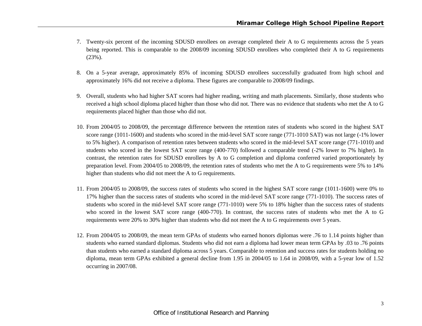- 7. Twenty-six percent of the incoming SDUSD enrollees on average completed their A to G requirements across the 5 years being reported. This is comparable to the 2008/09 incoming SDUSD enrollees who completed their A to G requirements (23%).
- 8. On a 5-year average, approximately 85% of incoming SDUSD enrollees successfully graduated from high school and approximately 16% did not receive a diploma. These figures are comparable to 2008/09 findings.
- 9. Overall, students who had higher SAT scores had higher reading, writing and math placements. Similarly, those students who received a high school diploma placed higher than those who did not. There was no evidence that students who met the A to G requirements placed higher than those who did not.
- 10. From 2004/05 to 2008/09, the percentage difference between the retention rates of students who scored in the highest SAT score range (1011-1600) and students who scored in the mid-level SAT score range (771-1010 SAT) was not large (-1% lower to 5% higher). A comparison of retention rates between students who scored in the mid-level SAT score range (771-1010) and students who scored in the lowest SAT score range (400-770) followed a comparable trend (-2% lower to 7% higher). In contrast, the retention rates for SDUSD enrollees by A to G completion and diploma conferred varied proportionately by preparation level. From 2004/05 to 2008/09, the retention rates of students who met the A to G requirements were 5% to 14% higher than students who did not meet the A to G requirements.
- 11. From 2004/05 to 2008/09, the success rates of students who scored in the highest SAT score range (1011-1600) were 0% to 17% higher than the success rates of students who scored in the mid-level SAT score range (771-1010). The success rates of students who scored in the mid-level SAT score range (771-1010) were 5% to 18% higher than the success rates of students who scored in the lowest SAT score range (400-770). In contrast, the success rates of students who met the A to G requirements were 20% to 30% higher than students who did not meet the A to G requirements over 5 years.
- 12. From 2004/05 to 2008/09, the mean term GPAs of students who earned honors diplomas were .76 to 1.14 points higher than students who earned standard diplomas. Students who did not earn a diploma had lower mean term GPAs by .03 to .76 points than students who earned a standard diploma across 5 years. Comparable to retention and success rates for students holding no diploma, mean term GPAs exhibited a general decline from 1.95 in 2004/05 to 1.64 in 2008/09, with a 5-year low of 1.52 occurring in 2007/08.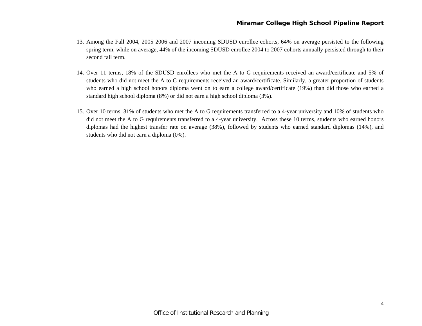- 13. Among the Fall 2004, 2005 2006 and 2007 incoming SDUSD enrollee cohorts, 64% on average persisted to the following spring term, while on average, 44% of the incoming SDUSD enrollee 2004 to 2007 cohorts annually persisted through to their second fall term.
- 14. Over 11 terms, 18% of the SDUSD enrollees who met the A to G requirements received an award/certificate and 5% of students who did not meet the A to G requirements received an award/certificate. Similarly, a greater proportion of students who earned a high school honors diploma went on to earn a college award/certificate (19%) than did those who earned a standard high school diploma (8%) or did not earn a high school diploma (3%).
- 15. Over 10 terms, 31% of students who met the A to G requirements transferred to a 4-year university and 10% of students who did not meet the A to G requirements transferred to a 4-year university. Across these 10 terms, students who earned honors diplomas had the highest transfer rate on average (38%), followed by students who earned standard diplomas (14%), and students who did not earn a diploma (0%).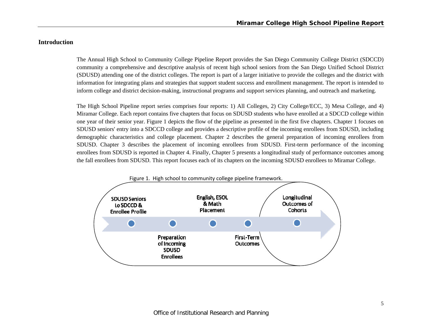# **Introduction**

The Annual High School to Community College Pipeline Report provides the San Diego Community College District (SDCCD) community a comprehensive and descriptive analysis of recent high school seniors from the San Diego Unified School District (SDUSD) attending one of the district colleges. The report is part of a larger initiative to provide the colleges and the district with information for integrating plans and strategies that support student success and enrollment management. The report is intended to inform college and district decision-making, instructional programs and support services planning, and outreach and marketing.

The High School Pipeline report series comprises four reports: 1) All Colleges, 2) City College/ECC, 3) Mesa College, and 4) Miramar College. Each report contains five chapters that focus on SDUSD students who have enrolled at a SDCCD college within one year of their senior year. Figure 1 depicts the flow of the pipeline as presented in the first five chapters. Chapter 1 focuses on SDUSD seniors' entry into a SDCCD college and provides a descriptive profile of the incoming enrollees from SDUSD, including demographic characteristics and college placement. Chapter 2 describes the general preparation of incoming enrollees from SDUSD. Chapter 3 describes the placement of incoming enrollees from SDUSD. First-term performance of the incoming enrollees from SDUSD is reported in Chapter 4. Finally, Chapter 5 presents a longitudinal study of performance outcomes among the fall enrollees from SDUSD. This report focuses each of its chapters on the incoming SDUSD enrollees to Miramar College.

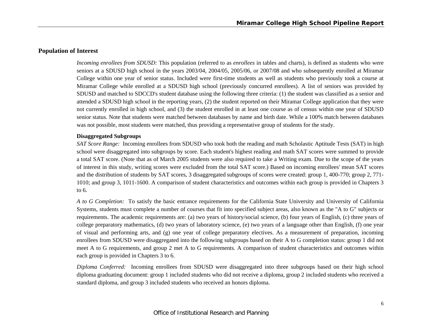### **Population of Interest**

*Incoming enrollees from SDUSD:* This population (referred to as *enrollees* in tables and charts), is defined as students who were seniors at a SDUSD high school in the years 2003/04, 2004/05, 2005/06, or 2007/08 and who subsequently enrolled at Miramar College within one year of senior status. Included were first-time students as well as students who previously took a course at Miramar College while enrolled at a SDUSD high school (previously concurred enrollees). A list of seniors was provided by SDUSD and matched to SDCCD's student database using the following three criteria: (1) the student was classified as a senior and attended a SDUSD high school in the reporting years, (2) the student reported on their Miramar College application that they were not currently enrolled in high school, and (3) the student enrolled in at least one course as of census within one year of SDUSD senior status. Note that students were matched between databases by name and birth date. While a 100% match between databases was not possible, most students were matched, thus providing a representative group of students for the study.

#### **Disaggregated Subgroups**

*SAT Score Range:* Incoming enrollees from SDUSD who took both the reading and math Scholastic Aptitude Tests (SAT) in high school were disaggregated into subgroups by score. Each student's highest reading and math SAT scores were summed to provide a total SAT score. (Note that as of March 2005 students were also required to take a Writing exam. Due to the scope of the years of interest in this study, writing scores were excluded from the total SAT score.) Based on incoming enrollees' mean SAT scores and the distribution of students by SAT scores, 3 disaggregated subgroups of scores were created: group 1, 400-770; group 2, 771- 1010; and group 3, 1011-1600. A comparison of student characteristics and outcomes within each group is provided in Chapters 3 to 6.

*A to G Completion:* To satisfy the basic entrance requirements for the California State University and University of California Systems, students must complete a number of courses that fit into specified subject areas, also known as the "A to G" subjects or requirements. The academic requirements are: (a) two years of history/social science, (b) four years of English, (c) three years of college preparatory mathematics, (d) two years of laboratory science, (e) two years of a language other than English, (f) one year of visual and performing arts, and (g) one year of college preparatory electives. As a measurement of preparation, incoming enrollees from SDUSD were disaggregated into the following subgroups based on their A to G completion status: group 1 did not meet A to G requirements, and group 2 met A to G requirements. A comparison of student characteristics and outcomes within each group is provided in Chapters 3 to 6.

*Diploma Conferred:* Incoming enrollees from SDUSD were disaggregated into three subgroups based on their high school diploma graduating document: group 1 included students who did not receive a diploma, group 2 included students who received a standard diploma, and group 3 included students who received an honors diploma.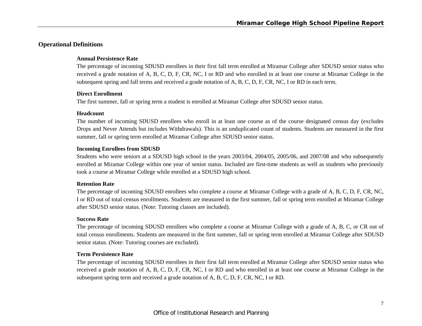# **Operational Definitions**

### **Annual Persistence Rate**

The percentage of incoming SDUSD enrollees in their first fall term enrolled at Miramar College after SDUSD senior status who received a grade notation of A, B, C, D, F, CR, NC, I or RD and who enrolled in at least one course at Miramar College in the subsequent spring and fall terms and received a grade notation of A, B, C, D, F, CR, NC, I or RD in each term.

# **Direct Enrollment**

The first summer, fall or spring term a student is enrolled at Miramar College after SDUSD senior status.

### **Headcount**

The number of incoming SDUSD enrollees who enroll in at least one course as of the course designated census day (excludes Drops and Never Attends but includes Withdrawals). This is an unduplicated count of students. Students are measured in the first summer, fall or spring term enrolled at Miramar College after SDUSD senior status.

### **Incoming Enrollees from SDUSD**

Students who were seniors at a SDUSD high school in the years 2003/04, 2004/05, 2005/06, and 2007/08 and who subsequently enrolled at Miramar College within one year of senior status. Included are first-time students as well as students who previously took a course at Miramar College while enrolled at a SDUSD high school.

### **Retention Rate**

The percentage of incoming SDUSD enrollees who complete a course at Miramar College with a grade of A, B, C, D, F, CR, NC, I or RD out of total census enrollments. Students are measured in the first summer, fall or spring term enrolled at Miramar College after SDUSD senior status. (Note: Tutoring classes are included).

### **Success Rate**

The percentage of incoming SDUSD enrollees who complete a course at Miramar College with a grade of A, B, C, or CR out of total census enrollments. Students are measured in the first summer, fall or spring term enrolled at Miramar College after SDUSD senior status. (Note: Tutoring courses are excluded).

# **Term Persistence Rate**

The percentage of incoming SDUSD enrollees in their first fall term enrolled at Miramar College after SDUSD senior status who received a grade notation of A, B, C, D, F, CR, NC, I or RD and who enrolled in at least one course at Miramar College in the subsequent spring term and received a grade notation of A, B, C, D, F, CR, NC, I or RD.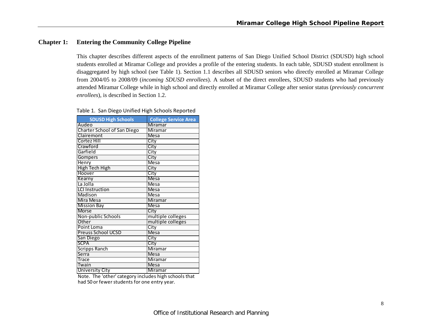# **Chapter 1: Entering the Community College Pipeline**

This chapter describes different aspects of the enrollment patterns of San Diego Unified School District (SDUSD) high school students enrolled at Miramar College and provides a profile of the entering students. In each table, SDUSD student enrollment is disaggregated by high school (see Table 1). Section 1.1 describes all SDUSD seniors who directly enrolled at Miramar College from 2004/05 to 2008/09 (*incoming SDUSD enrollees*). A subset of the direct enrollees, SDUSD students who had previously attended Miramar College while in high school and directly enrolled at Miramar College after senior status (*previously concurrent enrollees*), is described in Section 1.2.

| Table 1. San Diego Unified High Schools Reported |  |  |  |  |  |
|--------------------------------------------------|--|--|--|--|--|
|--------------------------------------------------|--|--|--|--|--|

| <b>SDUSD High Schools</b>          | <b>College Service Area</b> |
|------------------------------------|-----------------------------|
| Audeo                              | Miramar                     |
| <b>Charter School of San Diego</b> | Miramar                     |
| Clairemont                         | Mesa                        |
| Cortez Hill                        | City                        |
| Crawford                           | City                        |
| Garfield                           | City                        |
| Gompers                            | City                        |
| <b>Henry</b>                       | Mesa                        |
| <b>High Tech High</b>              | City                        |
| Hoover                             | City                        |
| Kearny                             | <b>Mesa</b>                 |
| La Jolla                           | <b>Mesa</b>                 |
| <b>LCI Instruction</b>             | Mesa                        |
| Madison                            | <b>Mesa</b>                 |
| Mira Mesa                          | <b>Miramar</b>              |
| <b>Mission Bay</b>                 | <b>Mesa</b>                 |
| <b>Morse</b>                       | City                        |
| Non-public Schools                 | multiple colleges           |
| Other                              | multiple colleges           |
| Point Loma                         | City                        |
| Preuss School UCSD                 | <b>Mesa</b>                 |
| San Diego                          | City                        |
| <b>SCPA</b>                        | City                        |
| <b>Scripps Ranch</b>               | Miramar                     |
| Serra                              | <b>Mesa</b>                 |
| <b>Trace</b>                       | Miramar                     |
| Twain                              | <b>Mesa</b>                 |
| <b>University City</b>             | Miramar                     |

had 50 or fewer students for one entry year. Note. The 'other' category includes high schools that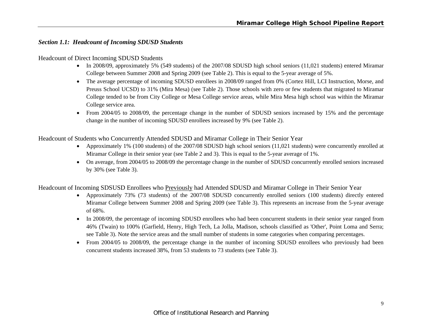# *Section 1.1: Headcount of Incoming SDUSD Students*

### Headcount of Direct Incoming SDUSD Students

- In 2008/09, approximately 5% (549 students) of the 2007/08 SDUSD high school seniors (11,021 students) entered Miramar College between Summer 2008 and Spring 2009 (see Table 2). This is equal to the 5-year average of 5%.
- The average percentage of incoming SDUSD enrollees in 2008/09 ranged from 0% (Cortez Hill, LCI Instruction, Morse, and Preuss School UCSD) to 31% (Mira Mesa) (see Table 2). Those schools with zero or few students that migrated to Miramar College tended to be from City College or Mesa College service areas, while Mira Mesa high school was within the Miramar College service area.
- From 2004/05 to 2008/09, the percentage change in the number of SDUSD seniors increased by 15% and the percentage change in the number of incoming SDUSD enrollees increased by 9% (see Table 2).

Headcount of Students who Concurrently Attended SDUSD and Miramar College in Their Senior Year

- Approximately 1% (100 students) of the 2007/08 SDUSD high school seniors (11,021 students) were concurrently enrolled at Miramar College in their senior year (see Table 2 and 3). This is equal to the 5-year average of 1%.
- On average, from 2004/05 to 2008/09 the percentage change in the number of SDUSD concurrently enrolled seniors increased by 30% (see Table 3).

Headcount of Incoming SDSUSD Enrollees who Previously had Attended SDUSD and Miramar College in Their Senior Year

- Approximately 73% (73 students) of the 2007/08 SDUSD concurrently enrolled seniors (100 students) directly entered Miramar College between Summer 2008 and Spring 2009 (see Table 3). This represents an increase from the 5-year average of 68%.
- In 2008/09, the percentage of incoming SDUSD enrollees who had been concurrent students in their senior year ranged from 46% (Twain) to 100% (Garfield, Henry, High Tech, La Jolla, Madison, schools classified as 'Other', Point Loma and Serra; see Table 3). Note the service areas and the small number of students in some categories when comparing percentages.
- From 2004/05 to 2008/09, the percentage change in the number of incoming SDUSD enrollees who previously had been concurrent students increased 38%, from 53 students to 73 students (see Table 3).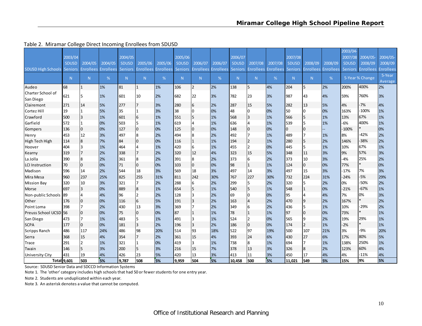|                                |              |                  |                          |              |                  |                  |                |                  |                  |                |                  |                  |                |                  |                  | 2003/04        |                  |                   |
|--------------------------------|--------------|------------------|--------------------------|--------------|------------------|------------------|----------------|------------------|------------------|----------------|------------------|------------------|----------------|------------------|------------------|----------------|------------------|-------------------|
|                                | 2003/04      |                  |                          | 2004/05      |                  |                  | 2005/06        |                  |                  | 2006/07        |                  |                  | 2007/08        |                  |                  | 2007/08        | 2004/05          | 2004/05-          |
|                                | <b>SDUSD</b> | 2004/05          | 2004/05                  | <b>SDUSD</b> | 2005/06          | 2005/06          | <b>SDUSD</b>   | 2006/07          | 2006/07          | <b>SDUSD</b>   | 2007/08          | 2007/08          | <b>SDUSD</b>   | 2008/09          | 2008/09          | <b>SDUSD</b>   | 2008/09          | 2008/09           |
| <b>SDUSD High Schools</b>      | Seniors      | <b>Enrollees</b> | <b>Enrollees</b> Seniors |              | <b>Enrollees</b> | <b>Enrollees</b> | <b>Seniors</b> | <b>Enrollees</b> | <b>Enrollees</b> | <b>Seniors</b> | <b>Enrollees</b> | <b>Enrollees</b> | Seniors        | <b>Enrollees</b> | <b>Enrollees</b> | <b>Seniors</b> | <b>Enrollees</b> | <b>Enrollees</b>  |
|                                | N            | N.               | %                        | N            | N                | %                | N.             | N                | %                | N              | N                | %                | N <sub>1</sub> | N                | %                |                | 5-Year % Change  | 5-Year<br>Average |
| Audeo                          | 68           |                  | 1%                       | 81           |                  | 1%               | 106            | $\overline{2}$   | 2%               | 138            | 5                | 4%               | 204            | 5                | 2%               | 200%           | 400%             | 2%                |
| Charter School of<br>San Diego | 621          | 5                | 1%                       | 601          | 10               | 2%               | 682            | 22               | 3%               | 782            | 23               | 3%               | 987            | 43               | 4%               | 59%            | 760%             | 3%                |
| Clairemont                     | 271          | 14               | 5%                       | 277          |                  | 3%               | 280            | 6                | 2%               | 287            | 15               | 5%               | 282            | 13               | 5%               | 4%             | $-7%$            | 4%                |
| Cortez Hill                    | 19           |                  | 5%                       | 35           |                  | 3%               | 38             | 0                | 0%               | 48             | $\Omega$         | 0%               | 50             | $\overline{0}$   | 0%               | 163%           | $-100%$          | 1%                |
| Crawford                       | 500          | $\overline{3}$   | 1%                       | 601          | 6                | 1%               | 551            | 5                | 1%               | 568            | 3                | 1%               | 566            | 5                | 1%               | 13%            | 67%              | 1%                |
| Garfield                       | 572          |                  | 0%                       | 503          |                  | 1%               | 619            | 4                | 1%               | 636            |                  | 1%               | 539            | 5                | 1%               | $-6%$          | 400%             | 1%                |
| Gompers                        | 136          | $\Omega$         | 0%                       | 127          | <sup>0</sup>     | 0%               | 125            | $\mathbf 0$      | 0%               | 148            | $\Omega$         | 0%               | $\overline{0}$ | $\overline{0}$   |                  | $-100%$        |                  | 0%                |
| Henry                          | 453          | 12               | 3%                       | 497          |                  | 2%               | 494            | 8                | 2%               | 492            |                  | 1%               | 489            | 17               | 1%               | 8%             | $-42%$           | 2%                |
| High Tech High                 | 114          | $\boldsymbol{8}$ | 7%                       | 84           |                  | 0%               | 116            | $\mathbf{1}$     | 1%               | 194            |                  | 1%               | 280            | 5                | 2%               | 146%           | $-38%$           | 2%                |
| Hoover                         | 404          | 3                | 1%                       | 464          |                  | 1%               | 420            | 6                | 1%               | 455            |                  | 0%               | 445            | 5                | 1%               | 10%            | 67%              | 1%                |
| Kearny                         | 319          | $\overline{7}$   | 2%                       | 338          |                  | 2%               | 320            | 12               | 4%               | 323            | 15               | 5%               | 348            | 11               | 3%               | 9%             | 57%              | 3%                |
| La Jolla                       | 390          | $\overline{8}$   | 2%                       | 361          |                  | 2%               | 391            | 8                | 2%               | 373            | 6                | 2%               | 373            | 10               | 3%               | $-4%$          | 25%              | 2%                |
| <b>LCI Instruction</b>         | 70           | $\overline{0}$   | 0%                       | 71           | $\overline{0}$   | 0%               | 103            | $\overline{0}$   | 0%               | 98             |                  | 1%               | 124            | $\mathbf 0$      | 0%               | 77%            |                  | 0%                |
| Madison                        | 596          | 14               | 2%                       | 544          | 18               | 3%               | 569            | 18               | 3%               | 497            | 14               | 3%               | 497            | 15               | 3%               | $-17%$         | 7%               | 3%                |
| Mira Mesa                      | 960          | 237              | 25%                      | 825          | 255              | 31%              | 811            | 242              | 30%              | 767            | 227              | 30%              | 732            | 224              | 31%              | $-24%$         | $-5%$            | 29%               |
| <b>Mission Bay</b>             | 320          | 10               | 3%                       | 321          |                  | 2%               | 288            | 6                | 2%               | 299            | 5                | 2%               | 320            | 5                | 2%               | 0%             | $-50%$           | 2%                |
| Morse                          | 697          | $\overline{3}$   | 0%                       | 889          |                  | 1%               | 654            | 5                | 1%               | 540            | 5                | 1%               | 548            | $\overline{1}$   | 0%               | $-21%$         | $-67%$           | 1%                |
| Non-public Schools             | 189          |                  | 4%                       | 96           |                  | 2%               | 128            | 3                | 2%               | 69             | 0                | 0%               | 95             | $\overline{4}$   | 4%               | 7%             | 0%               | 3%                |
| Other                          | 176          |                  | 0%                       | 116          | 6                | 5%               | 191            | $\overline{3}$   | 2%               | 163            |                  | 2%               | 470            | 9                | 2%               | 167%           |                  | 2%                |
| Point Loma                     | 398          | 7                | 2%                       | 430          | 13               | 3%               | 369            |                  | 2%               | 349            | 6                | 2%               | 436            | 5                | 1%               | 10%            | $-29%$           | 2%                |
| Preuss School UCSD 56          |              | 0                | 0%                       | 75           | $\Omega$         | 0%               | 87             |                  | 1%               | 78             |                  | 1%               | 97             | $\overline{0}$   | 0%               | 73%            |                  | 1%                |
| San Diego                      | 473          | 7                | 1%                       | 483          |                  | 1%               | 491            | 3                | 1%               | 524            | $\mathcal{P}$    | 0%               | 565            | 9                | 2%               | 19%            | 29%              | 1%                |
| <b>SCPA</b>                    | 177          | $\overline{0}$   | 0%                       | 181          | 3                | 2%               | 196            | 3                | 2%               | 186            | 0                | 0%               | 174            | $\overline{2}$   | 1%               | $-2%$          |                  | 1%                |
| Scripps Ranch                  | 486          | 117              | 24%                      | 486          | 98               | 20%              | 514            | 93               | 18%              | 522            | 97               | 19%              | 500            | 107              | 21%              | 3%             | $-9%$            | 20%               |
| Serra                          | 368          | 15               | 4%                       | 354          |                  | 2%               | 361            | 15               | 4%               | 393            | 24               | 6%               | 430            | 27               | 6%               | 17%            | 80%              | 5%                |
| Trace                          | 291          | $\overline{2}$   | 1%                       | 321          |                  | 0%               | 419            | 3                | 1%               | 738            | 8                | 1%               | 694            | 17               | 1%               | 138%           | 250%             | 1%                |
| Twain                          | 146          | 5                | 3%                       | 200          |                  | 3%               | 216            | 15               | 7%               | 378            | 13               | 3%               | 326            | 8                | 2%               | 123%           | 60%              | 4%                |
| <b>University City</b>         | 431          | 19               | 4%                       | 426          | 23               | 5%               | 420            | 13               | 3%               | 413            | 11               | 3%               | 450            | 17               | 4%               | 4%             | $-11%$           | 4%                |
|                                | Total 9,601  | 503              | 5%                       | 9.787        | 508              | 5%               | 9,959          | 504              | 5%               | 10.458         | 500              | 5%               | 11.021         | 549              | 5%               | 15%            | 9%               | 5%                |

Table 2. Miramar College Direct Incoming Enrollees from SDUSD

Source: SDUSD Senior Data and SDCCD Information Systems

Note 1. The 'other' category includes high schools that had 50 or fewerstudents for one entry year.

Note 2. Students are unduplicated within each year.

Note 3. An asterisk denotes <sup>a</sup> value that cannot be computed.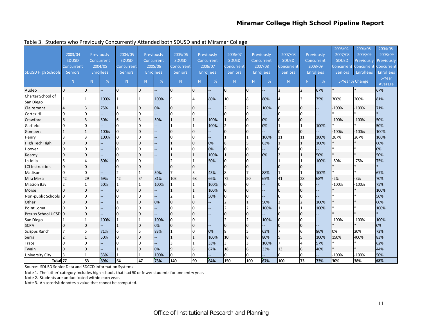|                           |                |                |                  |                |    |                  |                |              |                  |                |              |            |                |                |                  | 2003/04-     | 2004/05-          | 2004/05-       |
|---------------------------|----------------|----------------|------------------|----------------|----|------------------|----------------|--------------|------------------|----------------|--------------|------------|----------------|----------------|------------------|--------------|-------------------|----------------|
|                           | 2003/04        |                | Previously       | 2004/05        |    | Previously       | 2005/06        |              | Previously       | 2006/07        |              | Previously | 2007/08        |                | Previously       | 2007/08      | 2008/09           | 2008/09        |
|                           | <b>SDUSD</b>   |                | Concurrent       | <b>SDUSD</b>   |    | Concurrent       | <b>SDUSD</b>   |              | Concurrent       | SDUSD          |              | Concurrent | <b>SDUSD</b>   |                | Concurrent       | <b>SDUSD</b> | Previously        | Previously     |
|                           | Concurrent     |                | 2004/05          | Concurrent     |    | 2005/06          | Concurrent     |              | 2006/07          | Concurrent     |              | 2007/08    | Concurrent     |                | 2008/09          | Concurrent   | <b>Concurrent</b> | Concurrent     |
| <b>SDUSD High Schools</b> | <b>Seniors</b> |                | <b>Enrollees</b> | <b>Seniors</b> |    | <b>Enrollees</b> | <b>Seniors</b> |              | <b>Enrollees</b> | <b>Seniors</b> |              | Enrollees  | <b>Seniors</b> |                | <b>Enrollees</b> | Seniors      | <b>Enrollees</b>  | Enrollees      |
|                           |                |                |                  |                |    |                  |                |              |                  |                |              |            |                |                |                  |              |                   | 5-Year         |
|                           | N              | N              | %                | N              | N. | %                | N              | N            | %                | N              | N            | %          | N              | N              | $\%$             |              | 5-Year % Change   | <b>Average</b> |
| Audeo                     | $\overline{0}$ | $\overline{0}$ |                  | $\Omega$       | Iо |                  | Iо             | 0            |                  | $\mathsf{I}$   | I٥           |            | 3              | $\overline{2}$ | 67%              |              |                   | 67%            |
| Charter School of         |                | $\mathbf{1}$   | 100%             |                |    | 100%             | 5              |              | 80%              | 10             |              | 80%        |                |                | 75%              | 300%         | 200%              | 81%            |
| San Diego                 |                |                |                  |                |    |                  |                |              |                  |                |              |            |                |                |                  |              |                   |                |
| Clairemont                | 4              | 3              | 75%              |                | I0 | 0%               | IО             | 0            |                  |                |              | 100%       | 0              | 0              |                  | $-100%$      | $-100%$           | 71%            |
| <b>Cortez Hill</b>        | 0              | $\Omega$       |                  |                | I٥ |                  | n.             | 0            |                  | l0             |              |            | <sup>0</sup>   | $\Omega$       |                  |              |                   |                |
| Crawford                  | 6              | 3              | 50%              | 6              | l3 | 50%              |                |              | 100%             |                | $\Omega$     | 0%         | $\Omega$       | $\overline{0}$ |                  | $-100%$      | $-100%$           | 50%            |
| Garfield                  | l0             | 0              |                  |                | I٥ |                  |                |              | 100%             |                | <sup>0</sup> | 0%         |                |                | 100%             |              |                   | 50%            |
| Gompers                   | 11             | $\mathbf{1}$   | 100%             |                | lO |                  |                | $\mathbf 0$  |                  | 0              |              |            | $\Omega$       | $\overline{0}$ |                  | $-100%$      | $-100%$           | 100%           |
| Henry                     | 3              | $\overline{3}$ | 100%             |                | I٥ |                  |                | $\Omega$     |                  |                |              | 100%       | 11             | 11             | 100%             | 267%         | 267%              | 100%           |
| High Tech High            | $\overline{0}$ | $\mathbf 0$    |                  |                | lo |                  |                | 0            | 0%               | 8              |              | 63%        | 1              |                | 100%             |              |                   | 60%            |
| Hoover                    | $\overline{0}$ | $\overline{0}$ |                  |                | I٥ |                  |                | $\Omega$     | 0%               | 0              |              |            | $\Omega$       | 0              |                  |              |                   | 0%             |
| Kearny                    | $\overline{0}$ | $\bf{0}$       |                  |                | l0 |                  |                |              | 100%             |                | 0            | 0%         |                |                | 50%              |              |                   | 50%            |
| La Jolla                  | 5              | $\overline{4}$ | 80%              |                |    |                  |                |              | 50%              | 0              |              |            |                |                | 100%             | $-80%$       | $-75%$            | 75%            |
| <b>LCI</b> Instruction    | $\overline{0}$ | $\bf{0}$       |                  |                | 10 |                  | $\Omega$       | 0            |                  | 0              | $\Omega$     |            |                | $\overline{0}$ |                  |              |                   | $\star$        |
| Madison                   | $\overline{0}$ | $\Omega$       |                  | $\overline{z}$ |    | 50%              | $\overline{ }$ | 3            | 43%              | 8              |              | 88%        |                |                | 100%             |              | $\ast$            | 67%            |
| Mira Mesa                 | 42             | 29             | 69%              | 42             | 34 | 81%              | 103            | 68           | 66%              | 72             | 50           | 69%        | 41             | 28             | 68%              | $-2%$        | $-3%$             | 70%            |
| <b>Mission Bay</b>        | <b>2</b>       | $\mathbf{1}$   | 50%              | 11             |    | 100%             |                |              | 100%             | 0              |              |            |                | <sup>0</sup>   |                  | $-100%$      | $-100%$           | 75%            |
| Morse                     | $\overline{0}$ | $\bf{0}$       |                  |                | 10 |                  |                |              | 100%             | $\overline{0}$ | $\Omega$     |            |                | $\overline{0}$ |                  |              |                   | 100%           |
| Non-public Schools 0      |                | $\Omega$       |                  |                |    |                  |                |              | 50%              | 0              |              |            |                |                |                  |              |                   | 50%            |
| Other                     | 0              | $\mathbf 0$    |                  |                | I٥ | 0%               | $\overline{0}$ | $\mathbf{0}$ |                  |                |              | 50%        |                |                | 100%             |              |                   | 60%            |
| Point Loma                | $\Omega$       | $\Omega$       |                  |                |    |                  | <sup>0</sup>   |              |                  |                |              | 100%       |                |                | 100%             |              |                   | 100%           |
| Preuss School UCSD 0      |                | $\pmb{0}$      |                  |                | l0 |                  | $\Omega$       | $\mathbf{0}$ |                  | 0              | $\Omega$     |            |                | $\overline{0}$ |                  |              |                   |                |
| San Diego                 |                | 1              | 100%             |                |    | 100%             | O              |              |                  |                |              | 100%       |                | n.             |                  | $-100%$      | $-100%$           | 100%           |
| <b>SCPA</b>               | $\overline{0}$ | $\pmb{0}$      |                  |                | lo | 0%               | $\overline{0}$ | $\mathbf 0$  |                  | $\overline{0}$ |              |            | $\Omega$       | $\overline{0}$ |                  |              |                   | 0%             |
| <b>Scripps Ranch</b>      |                | 5              | 71%              |                |    | 83%              |                |              | 0%               | 8              |              | 63%        |                |                | 86%              | 0%           | 20%               | 72%            |
| Serra                     | <b>2</b>       | $\mathbf{1}$   | 50%              | <sup>0</sup>   | Io |                  |                |              | 100%             | 10             | 8            | 80%        | 5              |                | 100%             | 150%         | 400%              | 83%            |
| Trace                     | 0              | 0              |                  |                |    |                  |                |              | 33%              |                |              | 100%       |                |                | 57%              |              |                   | 62%            |
| Twain                     | $\overline{0}$ | $\pmb{0}$      |                  |                | Io | 0%               | 9              | 6            | 67%              | 18             | 6            | 33%        | 13             | 6              | 46%              |              |                   | 44%            |
| <b>University City</b>    |                |                | 33%              |                |    | 100%             | 0              | 0            |                  | <sup>0</sup>   | 0            |            | $\Omega$       | 0              |                  | $-100%$      | $-100%$           | 50%            |
| Total 77                  |                | 53             | 69%              | 64             | 47 | 73%              | 140            | 90           | 64%              | 150            | 100          | 67%        | 100            | 73             | 73%              | 30%          | 38%               | 68%            |

Table 3. Students who Previously Concurrently Attended both SDUSD and at Miramar College

Source: SDUSD Senior Data and SDCCD Information Systems

Note 1. The 'other' category includes high schools that had 50 or fewerstudents for one entry year.

Note 2. Students are unduplicated within each year.

Note 3. An asterisk denotes <sup>a</sup> value that cannot be computed.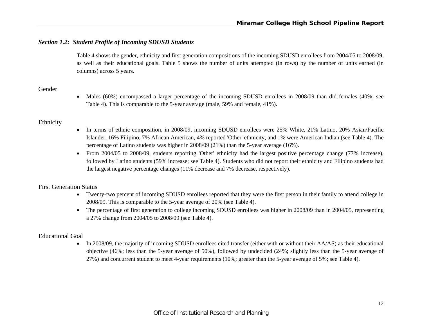# *Section 1.2: Student Profile of Incoming SDUSD Students*

Table 4 shows the gender, ethnicity and first generation compositions of the incoming SDUSD enrollees from 2004/05 to 2008/09, as well as their educational goals. Table 5 shows the number of units attempted (in rows) by the number of units earned (in columns) across 5 years.

# Gender

 $\bullet$  Males (60%) encompassed a larger percentage of the incoming SDUSD enrollees in 2008/09 than did females (40%; see Table 4). This is comparable to the 5-year average (male, 59% and female, 41%).

# Ethnicity

- In terms of ethnic composition, in 2008/09, incoming SDUSD enrollees were 25% White, 21% Latino, 20% Asian/Pacific Islander, 16% Filipino, 7% African American, 4% reported 'Other' ethnicity, and 1% were American Indian (see Table 4). The percentage of Latino students was higher in 2008/09 (21%) than the 5-year average (16%).
- From 2004/05 to 2008/09, students reporting 'Other' ethnicity had the largest positive percentage change (77% increase), followed by Latino students (59% increase; see Table 4). Students who did not report their ethnicity and Filipino students had the largest negative percentage changes (11% decrease and 7% decrease, respectively).

# First Generation Status

- Twenty-two percent of incoming SDUSD enrollees reported that they were the first person in their family to attend college in 2008/09. This is comparable to the 5-year average of 20% (see Table 4).
- The percentage of first generation to college incoming SDUSD enrollees was higher in 2008/09 than in 2004/05, representing a 27% change from 2004/05 to 2008/09 (see Table 4).

### Educational Goal

In 2008/09, the majority of incoming SDUSD enrollees cited transfer (either with or without their AA/AS) as their educational objective (46%; less than the 5-year average of 50%), followed by undecided (24%; slightly less than the 5-year average of 27%) and concurrent student to meet 4-year requirements (10%; greater than the 5-year average of 5%; see Table 4).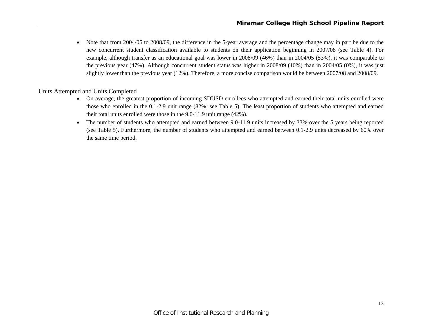$\bullet$  Note that from 2004/05 to 2008/09, the difference in the 5-year average and the percentage change may in part be due to the new concurrent student classification available to students on their application beginning in 2007/08 (see Table 4). For example, although transfer as an educational goal was lower in 2008/09 (46%) than in 2004/05 (53%), it was comparable to the previous year (47%). Although concurrent student status was higher in 2008/09 (10%) than in 2004/05 (0%), it was just slightly lower than the previous year (12%). Therefore, a more concise comparison would be between 2007/08 and 2008/09.

Units Attempted and Units Completed

- On average, the greatest proportion of incoming SDUSD enrollees who attempted and earned their total units enrolled were those who enrolled in the 0.1-2.9 unit range (82%; see Table 5). The least proportion of students who attempted and earned their total units enrolled were those in the 9.0-11.9 unit range (42%).
- $\bullet$  The number of students who attempted and earned between 9.0-11.9 units increased by 33% over the 5 years being reported (see Table 5). Furthermore, the number of students who attempted and earned between 0.1-2.9 units decreased by 60% over the same time period.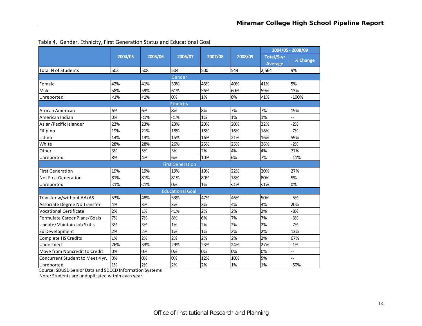|                                  |         |         |                         |         |         |            | 2004/05 - 2008/09 |
|----------------------------------|---------|---------|-------------------------|---------|---------|------------|-------------------|
|                                  | 2004/05 | 2005/06 | 2006/07                 | 2007/08 | 2008/09 | Total/5-yr |                   |
|                                  |         |         |                         |         |         | Average    | % Change          |
| <b>Total N of Students</b>       | 503     | 508     | 504                     | 500     | 549     | 2,564      | 9%                |
|                                  |         |         | Gender                  |         |         |            |                   |
| Female                           | 42%     | 41%     | 39%                     | 43%     | 40%     | 41%        | 5%                |
| Male                             | 58%     | 59%     | 61%                     | 56%     | 60%     | 59%        | 13%               |
| Unreported                       | $< 1\%$ | $< 1\%$ | 0%                      | 1%      | 0%      | $< 1\%$    | $-100%$           |
|                                  |         |         | Ethnicity               |         |         |            |                   |
| African American                 | 6%      | 6%      | 8%                      | 8%      | 7%      | 7%         | 19%               |
| American Indian                  | 0%      | $< 1\%$ | $< 1\%$                 | 1%      | 1%      | 1%         |                   |
| Asian/Pacific Islander           | 23%     | 23%     | 23%                     | 20%     | 20%     | 22%        | $-2%$             |
| Filipino                         | 19%     | 21%     | 18%                     | 18%     | 16%     | 18%        | $-7%$             |
| Latino                           | 14%     | 13%     | 15%                     | 16%     | 21%     | 16%        | 59%               |
| White                            | 28%     | 28%     | 26%                     | 25%     | 25%     | 26%        | $-2%$             |
| Other                            | 3%      | 5%      | 3%                      | 2%      | 4%      | 4%         | 77%               |
| Unreported                       | 8%      | 4%      | 6%                      | 10%     | 6%      | 7%         | $-11%$            |
|                                  |         |         | <b>First Generation</b> |         |         |            |                   |
| <b>First Generation</b>          | 19%     | 19%     | 19%                     | 19%     | 22%     | 20%        | 27%               |
| <b>Not First Generation</b>      | 81%     | 81%     | 81%                     | 80%     | 78%     | 80%        | 5%                |
| Unreported                       | $< 1\%$ | $< 1\%$ | 0%                      | 1%      | $< 1\%$ | $< 1\%$    | 0%                |
|                                  |         |         | <b>Educational Goal</b> |         |         |            |                   |
| Transfer w/without AA/AS         | 53%     | 48%     | 53%                     | 47%     | 46%     | 50%        | $-5%$             |
| Associate Degree No Transfer     | 4%      | 3%      | 3%                      | 3%      | 4%      | 4%         | 20%               |
| <b>Vocational Certificate</b>    | 2%      | 1%      | $< 1\%$                 | 2%      | 2%      | 2%         | $-8%$             |
| Formulate Career Plans/Goals     | 7%      | 7%      | 8%                      | 6%      | 7%      | 7%         | $-3%$             |
| Update/Maintain Job Skills       | 3%      | 3%      | 1%                      | 2%      | 2%      | 2%         | $-7%$             |
| Ed Development                   | 2%      | 2%      | 1%                      | 1%      | 2%      | 2%         | 13%               |
| <b>Complete HS Credits</b>       | 1%      | 2%      | 2%                      | 2%      | 2%      | 2%         | 67%               |
| Undecided                        | 26%     | 33%     | 29%                     | 23%     | 24%     | 27%        | $-1%$             |
| Move from Noncredit to Credit    | 0%      | 0%      | 0%                      | 0%      | 0%      | 0%         | $-$               |
| Concurrent Student to Meet 4 yr. | 0%      | 0%      | 0%                      | 12%     | 10%     | 5%         | $\overline{a}$    |
| Unreported                       | 1%      | 2%      | 2%                      | 2%      | 1%      | 1%         | -50%              |

Table 4. Gender, Ethnicity, First Generation Status and Educational Goal

Source: SDUSD Senior Data and SDCCD Information Systems

Note: Students are unduplicated within each year.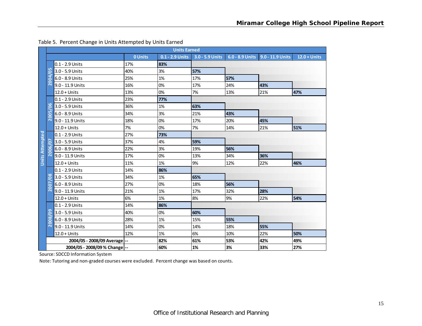|                        |                              |                               |         | <b>Units Earned</b> |                                 |     |                                    |                |
|------------------------|------------------------------|-------------------------------|---------|---------------------|---------------------------------|-----|------------------------------------|----------------|
|                        |                              |                               | 0 Units |                     | 0.1 - 2.9 Units 3.0 - 5.9 Units |     | 6.0 - 8.9 Units   9.0 - 11.9 Units | $12.0 + Units$ |
|                        |                              | 0.1 - 2.9 Units               | 17%     | 83%                 |                                 |     |                                    |                |
|                        | L٥<br>$\mathbf C$            | 3.0 - 5.9 Units               | 40%     | 3%                  | 57%                             |     |                                    |                |
|                        | $\overline{a}$               | 6.0 - 8.9 Units               | 25%     | 1%                  | 17%                             | 57% |                                    |                |
|                        | $\overline{20}$              | 9.0 - 11.9 Units              | 16%     | 0%                  | 17%                             | 24% | 43%                                |                |
|                        |                              | $12.0 + Units$                | 13%     | 0%                  | 7%                              | 13% | 21%                                | 47%            |
|                        |                              | 0.1 - 2.9 Units               | 23%     | 77%                 |                                 |     |                                    |                |
|                        | C<br>$\circ$                 | 3.0 - 5.9 Units               | 36%     | 1%                  | 63%                             |     |                                    |                |
|                        | E<br>$\circ$                 | 6.0 - 8.9 Units               | 34%     | 3%                  | 21%                             | 43% |                                    |                |
|                        | Ō<br>$\overline{\mathbf{C}}$ | 9.0 - 11.9 Units              | 18%     | 0%                  | 17%                             | 20% | 45%                                |                |
|                        |                              | $12.0 + Units$                | 7%      | 0%                  | 7%                              | 14% | 21%                                | 51%            |
| <b>Units Attempted</b> |                              | $0.1 - 2.9$ Units             | 27%     | 73%                 |                                 |     |                                    |                |
|                        | ö                            | 3.0 - 5.9 Units               | 37%     | 4%                  | 59%                             |     |                                    |                |
|                        | 2006                         | 6.0 - 8.9 Units               | 22%     | 3%                  | 19%                             | 56% |                                    |                |
|                        |                              | 9.0 - 11.9 Units              | 17%     | 0%                  | 13%                             | 34% | 36%                                |                |
|                        |                              | $12.0 + Units$                | 11%     | 1%                  | 9%                              | 12% | 22%                                | 46%            |
|                        |                              | 0.1 - 2.9 Units               | 14%     | 86%                 |                                 |     |                                    |                |
|                        | $\frac{8}{2}$                | 3.0 - 5.9 Units               | 34%     | 1%                  | 65%                             |     |                                    |                |
|                        | <b>Z007</b>                  | 6.0 - 8.9 Units               | 27%     | 0%                  | 18%                             | 56% |                                    |                |
|                        |                              | 9.0 - 11.9 Units              | 21%     | 1%                  | 17%                             | 32% | 28%                                |                |
|                        |                              | $12.0 + Units$                | 6%      | 1%                  | 8%                              | 9%  | 22%                                | 54%            |
|                        |                              | 0.1 - 2.9 Units               | 14%     | 86%                 |                                 |     |                                    |                |
|                        | ဥ                            | 3.0 - 5.9 Units               | 40%     | 0%                  | 60%                             |     |                                    |                |
|                        | 2008                         | 6.0 - 8.9 Units               | 28%     | 1%                  | 15%                             | 55% |                                    |                |
|                        |                              | 9.0 - 11.9 Units              | 14%     | 0%                  | 14%                             | 18% | 55%                                |                |
|                        |                              | $12.0 + Units$                | 12%     | 1%                  | 6%                              | 10% | 22%                                | 50%            |
|                        |                              | 2004/05 - 2008/09 Average  -- |         | 82%                 | 61%                             | 53% | 42%                                | 49%            |
|                        |                              | 2004/05 - 2008/09 % Change -- |         | 60%                 | 1%                              | 3%  | 33%                                | 27%            |

#### Table 5. Percent Change in Units Attempted by Units Earned

Source: SDCCD Information System

Note: Tutoring and non‐graded courses were excluded. Percent change was based on counts.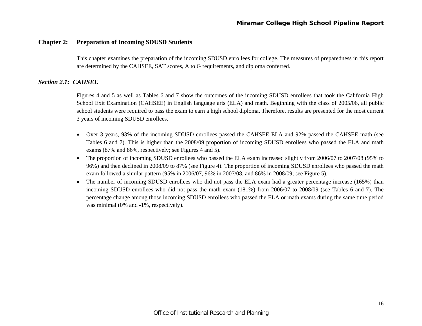# **Chapter 2: Preparation of Incoming SDUSD Students**

This chapter examines the preparation of the incoming SDUSD enrollees for college. The measures of preparedness in this report are determined by the CAHSEE, SAT scores, A to G requirements, and diploma conferred.

# *Section 2.1: CAHSEE*

Figures 4 and 5 as well as Tables 6 and 7 show the outcomes of the incoming SDUSD enrollees that took the California High School Exit Examination (CAHSEE) in English language arts (ELA) and math. Beginning with the class of 2005/06, all public school students were required to pass the exam to earn a high school diploma. Therefore, results are presented for the most current 3 years of incoming SDUSD enrollees.

- Over 3 years, 93% of the incoming SDUSD enrollees passed the CAHSEE ELA and 92% passed the CAHSEE math (see Tables 6 and 7). This is higher than the 2008/09 proportion of incoming SDUSD enrollees who passed the ELA and math exams (87% and 86%, respectively; see Figures 4 and 5).
- The proportion of incoming SDUSD enrollees who passed the ELA exam increased slightly from 2006/07 to 2007/08 (95% to 96%) and then declined in 2008/09 to 87% (see Figure 4). The proportion of incoming SDUSD enrollees who passed the math exam followed a similar pattern (95% in 2006/07, 96% in 2007/08, and 86% in 2008/09; see Figure 5).
- The number of incoming SDUSD enrollees who did not pass the ELA exam had a greater percentage increase (165%) than incoming SDUSD enrollees who did not pass the math exam (181%) from 2006/07 to 2008/09 (see Tables 6 and 7). The percentage change among those incoming SDUSD enrollees who passed the ELA or math exams during the same time period was minimal (0% and -1%, respectively).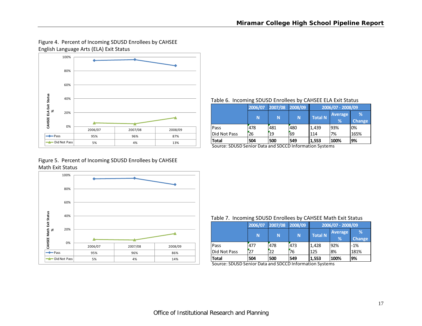# Figure 4. Percent of Incoming SDUSD Enrollees by CAHSEE English Language Arts (ELA) Exit Status



#### Table 6. Incoming SDUSD Enrollees by CAHSEE ELA Exit Status

|              | 2006/07 | 2007/08 | 2008/09 | 2006/07 - 2008/09 |                                 |                    |  |  |
|--------------|---------|---------|---------|-------------------|---------------------------------|--------------------|--|--|
|              | N       | N       | N       | <b>Total N</b>    | <b>Average</b><br>$\frac{1}{2}$ | %<br><b>Change</b> |  |  |
| Pass         | 478     | 481     | 480     | 1,439             | 93%                             | 0%                 |  |  |
| Did Not Pass | 26      | 19      | 69      | 114               | 7%                              | 165%               |  |  |
| Total        | 504     | 500     | 549     | 1,553             | 100%                            | <b>9%</b>          |  |  |

Source: SDUSD Senior Data and SDCCD Information Systems

# Figure 5. Percent of Incoming SDUSD Enrollees by CAHSEE Math Exit Status



#### Table 7. Incoming SDUSD Enrollees by CAHSEE Math Exit Status

|              | 2006/07 | 2007/08 | 2008/09 | 2006/07 - 2008/09 |                |        |  |  |  |
|--------------|---------|---------|---------|-------------------|----------------|--------|--|--|--|
|              |         | N       | N       | <b>Total N</b>    | <b>Average</b> | %      |  |  |  |
|              | N       |         |         |                   | %              | Change |  |  |  |
| Pass         | 477     | 478     | 473     | 1,428             | 92%            | $-1%$  |  |  |  |
| Did Not Pass | 27      | 22      | 76      | <b>125</b>        | 8%             | 181%   |  |  |  |
| <b>Total</b> | 504     | 500     | 549     | 11,553            | 100%           | 9%     |  |  |  |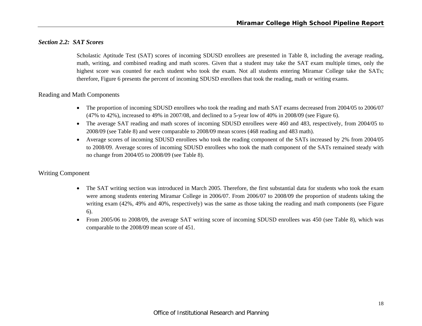### *Section 2.2: SAT Scores*

Scholastic Aptitude Test (SAT) scores of incoming SDUSD enrollees are presented in Table 8, including the average reading, math, writing, and combined reading and math scores. Given that a student may take the SAT exam multiple times, only the highest score was counted for each student who took the exam. Not all students entering Miramar College take the SATs; therefore, Figure 6 presents the percent of incoming SDUSD enrollees that took the reading, math or writing exams.

### Reading and Math Components

- The proportion of incoming SDUSD enrollees who took the reading and math SAT exams decreased from 2004/05 to 2006/07 (47% to 42%), increased to 49% in 2007/08, and declined to a 5-year low of 40% in 2008/09 (see Figure 6).
- The average SAT reading and math scores of incoming SDUSD enrollees were 460 and 483, respectively, from 2004/05 to 2008/09 (see Table 8) and were comparable to 2008/09 mean scores (468 reading and 483 math).
- 0 Average scores of incoming SDUSD enrollees who took the reading component of the SATs increased by 2% from 2004/05 to 2008/09. Average scores of incoming SDUSD enrollees who took the math component of the SATs remained steady with no change from 2004/05 to 2008/09 (see Table 8).

### Writing Component

- $\bullet$  The SAT writing section was introduced in March 2005. Therefore, the first substantial data for students who took the exam were among students entering Miramar College in 2006/07. From 2006/07 to 2008/09 the proportion of students taking the writing exam (42%, 49% and 40%, respectively) was the same as those taking the reading and math components (see Figure 6).
- $\bullet$  From 2005/06 to 2008/09, the average SAT writing score of incoming SDUSD enrollees was 450 (see Table 8), which was comparable to the 2008/09 mean score of 451.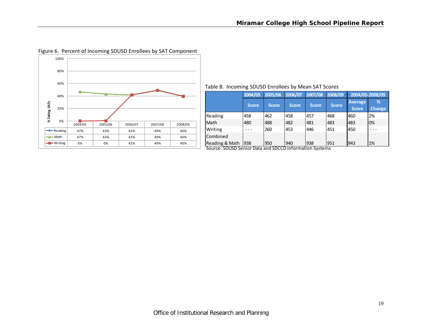

# Figure 6. Percent of Incoming SDUSD Enrollees by SAT Component

|  |  | Table 8. Incoming SDUSD Enrollees by Mean SAT Scores |  |  |  |  |  |  |
|--|--|------------------------------------------------------|--|--|--|--|--|--|
|--|--|------------------------------------------------------|--|--|--|--|--|--|

|                 | 2004/05 | 2005/06 | 2006/07      | 2007/08      | 2008/09      | 2004/05-2008/09         |                    |
|-----------------|---------|---------|--------------|--------------|--------------|-------------------------|--------------------|
|                 | Score.  | Score   | <b>Score</b> | <b>Score</b> | <b>Score</b> | Average<br><b>Score</b> | %<br><b>Change</b> |
| Reading         | 458     | 462     | 458          | 457          | 468          | 460                     | 2%                 |
| <b>Math</b>     | 480     | 488     | 482          | 481          | 483          | 1483                    | 0%                 |
| Writing         |         | 260     | 453          | 446          | 451          | 1450                    |                    |
| <b>Combined</b> |         |         |              |              |              |                         |                    |
| Reading & Math  | 938     | 950     | 940          | 938          | 951          | 1943                    | 1%                 |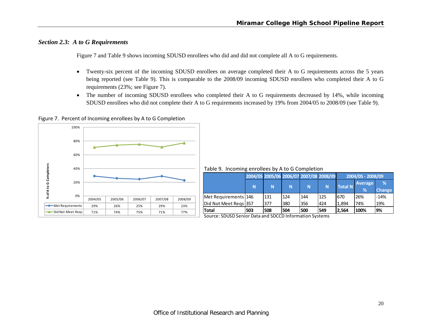# *Section 2.3: A to G Requirements*

Figure 7 and Table 9 shows incoming SDUSD enrollees who did and did not complete all A to G requirements.

- $\bullet$  Twenty-six percent of the incoming SDUSD enrollees on average completed their A to G requirements across the 5 years being reported (see Table 9). This is comparable to the 2008/09 incoming SDUSD enrollees who completed their A to G requirements (23%; see Figure 7).
- $\bullet$  The number of incoming SDUSD enrollees who completed their A to G requirements decreased by 14%, while incoming SDUSD enrollees who did not complete their A to G requirements increased by 19% from 2004/05 to 2008/09 (see Table 9).

Figure 7. Percent of Incoming enrollees by A to G Completion



Table 9. Incoming enrollees by A to G Completion

|                        |     |     | 2004/05 2005/06 2006/07 2007/08 2008/09 |     |     |                | 2004/05 - 2008/09 |               |  |  |  |
|------------------------|-----|-----|-----------------------------------------|-----|-----|----------------|-------------------|---------------|--|--|--|
|                        |     |     |                                         |     |     | <b>Total N</b> | <b>Average</b>    | %             |  |  |  |
|                        | N   | N   | N                                       | N   | N   |                | %                 | <b>Change</b> |  |  |  |
| Met Requirements   146 |     | 131 | 124                                     | 144 | 125 | 1670           | 26%               | $-14%$        |  |  |  |
| Did Not Meet Regs 357  |     | 377 | 380                                     | 356 | 424 | 1.894          | 74%               | 19%           |  |  |  |
| <b> Total</b>          | 503 | 508 | 504                                     | 500 | 549 | 2.564          | 100%              | '9%           |  |  |  |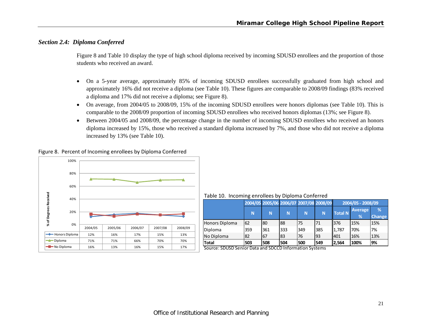# *Section 2.4: Diploma Conferred*

Figure 8 and Table 10 display the type of high school diploma received by incoming SDUSD enrollees and the proportion of those students who received an award.

- $\bullet$  On a 5-year average, approximately 85% of incoming SDUSD enrollees successfully graduated from high school and approximately 16% did not receive a diploma (see Table 10). These figures are comparable to 2008/09 findings (83% received a diploma and 17% did not receive a diploma; see Figure 8).
- $\bullet$  On average, from 2004/05 to 2008/09, 15% of the incoming SDUSD enrollees were honors diplomas (see Table 10). This is comparable to the 2008/09 proportion of incoming SDUSD enrollees who received honors diplomas (13%; see Figure 8).
- $\bullet$  Between 2004/05 and 2008/09, the percentage change in the number of incoming SDUSD enrollees who received an honors diploma increased by 15%, those who received a standard diploma increased by 7%, and those who did not receive a diploma increased by 13% (see Table 10).

Figure 8. Percent of Incoming enrollees by Diploma Conferred



Table 10. Incoming enrollees by Diploma Conferred

|                |     |     | 2004/05 2005/06 2006/07 2007/08 2008/09 |     |          |                | 2004/05 - 2008/09   |                    |
|----------------|-----|-----|-----------------------------------------|-----|----------|----------------|---------------------|--------------------|
|                | N   | N   | N                                       | N   | <b>N</b> | <b>Total N</b> | <b>Average</b><br>% | %<br><b>Change</b> |
| Honors Diploma | 62  | 80  | 88                                      | 75  | 71       | 376            | 15%                 | 15%                |
| Diploma        | 359 | 361 | 333                                     | 349 | 385      | 1,787          | 70%                 | 7%                 |
| No Diploma     | 82  | 67  | 83                                      | 76  | 93       | 1401           | 16%                 | 13%                |
| <b>Total</b>   | 503 | 508 | 504                                     | 500 | 549      | 2,564          | 100%                | 9%                 |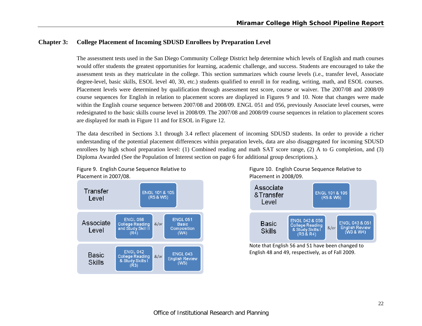# **Chapter 3: College Placement of Incoming SDUSD Enrollees by Preparation Level**

The assessment tests used in the San Diego Community College District help determine which levels of English and math courses would offer students the greatest opportunities for learning, academic challenge, and success. Students are encouraged to take the assessment tests as they matriculate in the college. This section summarizes which course levels (i.e., transfer level, Associate degree-level, basic skills, ESOL level 40, 30, etc.) students qualified to enroll in for reading, writing, math, and ESOL courses. Placement levels were determined by qualification through assessment test score, course or waiver. The 2007/08 and 2008/09 course sequences for English in relation to placement scores are displayed in Figures 9 and 10. Note that changes were made within the English course sequence between 2007/08 and 2008/09. ENGL 051 and 056, previously Associate level courses, were redesignated to the basic skills course level in 2008/09. The 2007/08 and 2008/09 course sequences in relation to placement scores are displayed for math in Figure 11 and for ESOL in Figure 12.

The data described in Sections 3.1 through 3.4 reflect placement of incoming SDUSD students. In order to provide a richer understanding of the potential placement differences within preparation levels, data are also disaggregated for incoming SDUSD enrollees by high school preparation level: (1) Combined reading and math SAT score range, (2) A to G completion, and (3) Diploma Awarded (See the Population of Interest section on page 6 for additional group descriptions.).



Figure 9. English Course Sequence Relative to Figure 10. English Course Sequence Relative to 2007/08. Placement in 2008/09.



Note that English 56 and 51 have been changed to English 48 and 49, respectively, as of Fall 2009.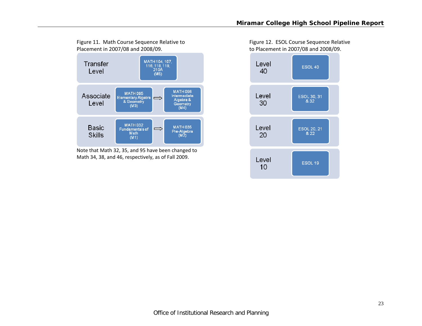

Note that Math 32, 35, and 95 have been changed to Math 34, 38, and 46, respectively, as of Fall 2009.

Figure 11. Math Course Sequence Relative to Figure 12. ESOL Course Sequence Relative 2007/08 and 2008/09. to Placement in 2007/08 and 2008/09.

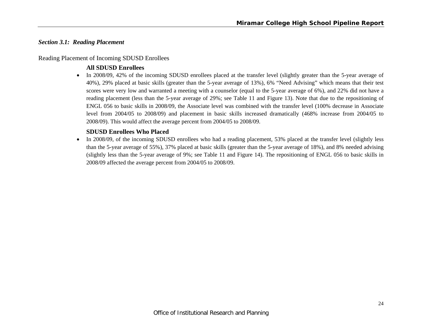### *Section 3.1: Reading Placement*

#### Reading Placement of Incoming SDUSD Enrollees

# **All SDUSD Enrollees**

• In 2008/09, 42% of the incoming SDUSD enrollees placed at the transfer level (slightly greater than the 5-year average of 40%), 29% placed at basic skills (greater than the 5-year average of 13%), 6% "Need Advising" which means that their test scores were very low and warranted a meeting with a counselor (equal to the 5-year average of 6%), and 22% did not have a reading placement (less than the 5-year average of 29%; see Table 11 and Figure 13). Note that due to the repositioning of ENGL 056 to basic skills in 2008/09, the Associate level was combined with the transfer level (100% decrease in Associate level from 2004/05 to 2008/09) and placement in basic skills increased dramatically (468% increase from 2004/05 to 2008/09). This would affect the average percent from 2004/05 to 2008/09.

# **SDUSD Enrollees Who Placed**

 $\bullet$  In 2008/09, of the incoming SDUSD enrollees who had a reading placement, 53% placed at the transfer level (slightly less than the 5-year average of 55%), 37% placed at basic skills (greater than the 5-year average of 18%), and 8% needed advising (slightly less than the 5-year average of 9%; see Table 11 and Figure 14). The repositioning of ENGL 056 to basic skills in 2008/09 affected the average percent from 2004/05 to 2008/09.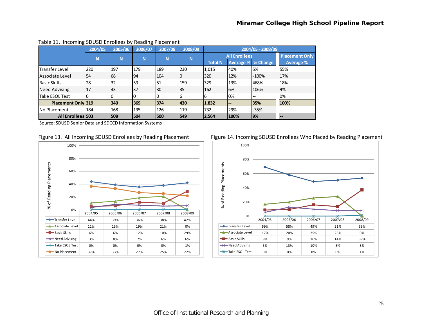|                           | 2004/05 | 2005/06 | 2006/07 | 2007/08 | 2008/09 |                |                           | 2004/05 - 2008/09 |                       |
|---------------------------|---------|---------|---------|---------|---------|----------------|---------------------------|-------------------|-----------------------|
|                           | N       | N       | N       | N       | N       |                | <b>All Enrollees</b>      |                   | <b>Placement Only</b> |
|                           |         |         |         |         |         | <b>Total N</b> | <b>Average % % Change</b> |                   | <b>Average %</b>      |
| <b>Transfer Level</b>     | 220     | 197     | 179     | 189     | 230     | 1,015          | 40%                       | 5%                | 55%                   |
| lAssociate Level          | 54      | 68      | 94      | 104     | 0       | 320            | 12%                       | $-100%$           | 17%                   |
| <b>Basic Skills</b>       | 28      | 32      | 59      | 51      | 159     | 329            | 13%                       | 468%              | 18%                   |
| Need Advising             | 17      | 43      | 37      | 130     | 35      | 162            | 6%                        | 106%              | 9%                    |
| Take ESOL Test            |         | 0       |         |         | 6       | Iб             | 0%                        | $- -$             | 0%                    |
| <b>Placement Only 319</b> |         | 340     | 369     | 374     | 430     | 1,832          | --                        | 35%               | 100%                  |
| <b>INo Placement</b>      | 184     | 168     | 135     | 126     | 119     | 732            | 29%                       | $-35%$            | $- -$                 |
| <b>All Enrollees 503</b>  |         | 508     | 504     | 500     | 549     | 2,564          | 100%                      | 19%               | $- -$                 |

#### Table 11. Incoming SDUSD Enrollees by Reading Placement







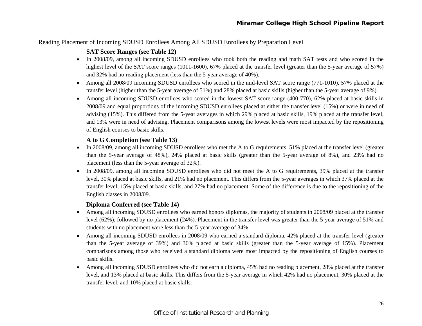# Reading Placement of Incoming SDUSD Enrollees Among All SDUSD Enrollees by Preparation Level

# **SAT Score Ranges (see Table 12)**

- In 2008/09, among all incoming SDUSD enrollees who took both the reading and math SAT tests and who scored in the highest level of the SAT score ranges (1011-1600), 67% placed at the transfer level (greater than the 5-year average of 57%) and 32% had no reading placement (less than the 5-year average of 40%).
- Among all 2008/09 incoming SDUSD enrollees who scored in the mid-level SAT score range (771-1010), 57% placed at the transfer level (higher than the 5-year average of 51%) and 28% placed at basic skills (higher than the 5-year average of 9%).
- Among all incoming SDUSD enrollees who scored in the lowest SAT score range (400-770), 62% placed at basic skills in 2008/09 and equal proportions of the incoming SDUSD enrollees placed at either the transfer level (15%) or were in need of advising (15%). This differed from the 5-year averages in which 29% placed at basic skills, 19% placed at the transfer level, and 13% were in need of advising. Placement comparisons among the lowest levels were most impacted by the repositioning of English courses to basic skills.

# **A to G Completion (see Table 13)**

- In 2008/09, among all incoming SDUSD enrollees who met the A to G requirements, 51% placed at the transfer level (greater than the 5-year average of 48%), 24% placed at basic skills (greater than the 5-year average of 8%), and 23% had no placement (less than the 5-year average of 32%).
- In 2008/09, among all incoming SDUSD enrollees who did not meet the A to G requirements, 39% placed at the transfer level, 30% placed at basic skills, and 21% had no placement. This differs from the 5-year averages in which 37% placed at the transfer level, 15% placed at basic skills, and 27% had no placement. Some of the difference is due to the repositioning of the English classes in 2008/09.

# **Diploma Conferred (see Table 14)**

- Among all incoming SDUSD enrollees who earned honors diplomas, the majority of students in 2008/09 placed at the transfer level (62%), followed by no placement (24%). Placement in the transfer level was greater than the 5-year average of 51% and students with no placement were less than the 5-year average of 34%.
- 6 Among all incoming SDUSD enrollees in 2008/09 who earned a standard diploma, 42% placed at the transfer level (greater than the 5-year average of 39%) and 36% placed at basic skills (greater than the 5-year average of 15%). Placement comparisons among those who received a standard diploma were most impacted by the repositioning of English courses to basic skills.
- e Among all incoming SDUSD enrollees who did not earn a diploma, 45% had no reading placement, 28% placed at the transfer level, and 13% placed at basic skills. This differs from the 5-year average in which 42% had no placement, 30% placed at the transfer level, and 10% placed at basic skills.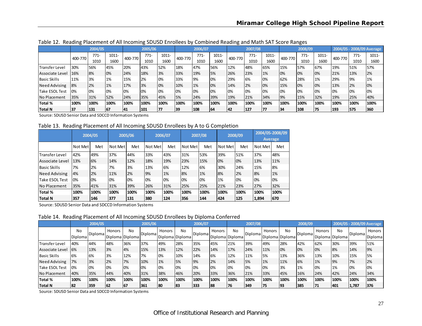|                       |         | 2004/05 |       |         | 2005/06 |       |         | 2006/07   |       |         | 2007/08 |       |         | 2008/09 |          |         |      | 2004/05 - 2008/09 Average |
|-----------------------|---------|---------|-------|---------|---------|-------|---------|-----------|-------|---------|---------|-------|---------|---------|----------|---------|------|---------------------------|
|                       | 400-770 | $771-$  | 1011- | 400-770 | $771-$  | 1011- | 400-770 | $771-$    | 1011- | 400-770 | $771-$  | 1011- | 400-770 | $771-$  | $1011 -$ | 400-770 | 771- | 1011-                     |
|                       |         | 1010    | 1600  |         | 1010    | 1600  |         | 1010      | 1600  |         | 1010    | 1600  |         | 1010    | 1600     |         | 1010 | 1600                      |
| <b>Transfer Level</b> | 30%     | 56%     | 45%   | 20%     | 43%     | 52%   | 18%     | 47%       | 56%   | 12%     | 48%     | 65%   | 15%     | 57%     | 67%      | 19%     | 51%  | 57%                       |
| Associate Level       | 16%     | 8%      | 0%    | 24%     | 18%     | 3%    | 33%     | 19%       | 5%    | 26%     | 23%     | 1%    | 0%      | 0%      | 0%       | 21%     | 13%  | 2%                        |
| <b>Basic Skills</b>   | 11%     | 3%      | 1%    | 15%     | 2%      | 0%    | 33%     | <b>9%</b> | 0%    | 29%     | 6%      | 0%    | 62%     | 28%     | 1%       | 29%     | 9%   | 1%                        |
| Need Advising         | 8%      | 2%      | 1%    | 17%     | 3%      | 0%    | 10%     | 1%        | 0%    | 14%     | 2%      | 0%    | 15%     | 0%      | 0%       | 13%     | 2%   | 0%                        |
| <b>Take ESOL Test</b> | 0%      | 0%      | 0%    | 0%      | 10%     | 10%   | 0%      | 0%        | 0%    | 0%      | 0%      | 0%    | 0%      | 0%      | 0%       | 0%      | 0%   | 0%                        |
| No Placement          | 35%     | 31%     | 52%   | 24%     | 35%     | 45%   | 5%      | 24%       | 39%   | 19%     | 21%     | 34%   | 9%      | 15%     | 32%      | 19%     | 25%  | 40%                       |
| Total %               | 100%    | 100%    | 100%  | 100%    | 100%    | 100%  | 100%    | 100%      | 100%  | 100%    | 100%    | 100%  | 100%    | 100%    | 100%     | 100%    | 100% | 100%                      |
| Total N               | 37      | 131     | 67    | 141     | 101     | 177   | 39      | 108       | 164   | 42      | 127     |       | 34      | 108     | 175      | 193     | 575  | 360                       |

Table 12. Reading Placement of All Incoming SDUSD Enrollees by Combined Reading and Math SAT Score Ranges

Source: SDUSD Senior Data and SDCCD Information Systems

Table 13. Reading Placement of All Incoming SDUSD Enrollees by A to G Completion

|                       |         | 2004/05 |         | 2005/06 |         | 2006/07 |         | 2007/08 |         | 2008/09 |         | 2004/05-2008/09<br><b>Average</b> |
|-----------------------|---------|---------|---------|---------|---------|---------|---------|---------|---------|---------|---------|-----------------------------------|
|                       | Not Met | Met     | Not Met | Met     | Not Met | Met     | Not Met | Met     | Not Met | Met     | Not Met | Met                               |
| <b>Transfer Level</b> | 42%     | 49%     | 37%     | 44%     | 33%     | 43%     | 31%     | 53%     | 39%     | 51%     | 37%     | 48%                               |
| Associate Level       | 13%     | 6%      | 14%     | 12%     | 18%     | 19%     | 23%     | 15%     | 0%      | 0%      | 13%     | 11%                               |
| Basic Skills          | 7%      | 2%      | 7%      | 3%      | 13%     | 6%      | 12%     | 6%      | 30%     | 24%     | 15%     | 8%                                |
| <b>Need Advising</b>  | 4%      | 2%      | 11%     | 2%      | 9%      | 1%      | 8%      | 1%      | 8%      | 2%      | 8%      | 1%                                |
| <b>Take ESOL Test</b> | 0%      | 0%      | 0%      | 0%      | 0%      | 0%      | 0%      | 0%      | 1%      | 0%      | 0%      | 0%                                |
| INo Placement         | 35%     | 41%     | 31%     | 39%     | 26%     | 31%     | 25%     | 25%     | 21%     | 23%     | 27%     | 32%                               |
| Total %               | 100%    | 100%    | 100%    | 100%    | 100%    | 100%    | 100%    | 100%    | 100%    | 100%    | 100%    | 100%                              |
| Total N               | 357     | 146     | 377     | 131     | 380     | 124     | 356     | 144     | 424     | 125     | 1,894   | 1670                              |

Source: SDUSD Senior Data and SDCCD Information Systems

Table 14. Reading Placement of All Incoming SDUSD Enrollees by Diploma Conferred

|                     |                      | 2004/05 |        |                       | 2005/06 |                           |      | 2006/07 |        |                       | 2007/08        |        |                              | 2008/09 |        |                       | 2004/05 - 2008/09 Average |                   |
|---------------------|----------------------|---------|--------|-----------------------|---------|---------------------------|------|---------|--------|-----------------------|----------------|--------|------------------------------|---------|--------|-----------------------|---------------------------|-------------------|
|                     | No<br><b>Diploma</b> | Diploma | Honors | No<br>Diploma Diploma | Diploma | Honors<br>Diploma Diploma | No   | Diploma | Honors | No<br>Diploma Diploma | <b>Diploma</b> | Honors | <b>No</b><br>Diploma Diploma | Diploma | Honors | No<br>Diploma Diploma | Diploma                   | Honors<br>Diploma |
| Transfer Level      | 40%                  | 44%     | 48%    | 36%                   | 37%     | 49%                       | 28%  | 35%     | 45%    | 21%                   | 39%            | 49%    | 28%                          | 42%     | 62%    | 30%                   | 39%                       | 51%               |
| Associate Level     | 6%                   | 13%     | 3%     | 4%                    | 15%     | 13%                       | 12%  | 22%     | 14%    | 17%                   | 24%            | 11%    | 0%                           | 0%      | 0%     | 8%                    | 14%                       | 9%                |
| <b>Basic Skills</b> | 6%                   | 6%      | 3%     | 12%                   | 7%      | 0%                        | 10%  | 14%     | 6%     | 12%                   | 11%            | 5%     | 13%                          | 36%     | 13%    | 10%                   | 15%                       | 15%               |
| Need Advising       | 7%                   | 3%      | 2%     | 7%                    | 10%     | 1%                        | 5%   | 9%      | 2%     | 14%                   | 5%             | 1%     | 11%                          | 6%      | 1%     | 9%                    | 7%                        | 2%                |
| Take ESOL Test      | 0%                   | 0%      | 0%     | 0%                    | 0%      | 0%                        | 0%   | 0%      | 0%     | 0%                    | 0%             | 0%     | 3%                           | 1%      | 0%     | 1%                    | 0%                        | 0%                |
| No Placement        | 40%                  | 35%     | 44%    | 40%                   | 31%     | 38%                       | 46%  | 20%     | 33%    | 36%                   | 21%            | 33%    | 45%                          | 16%     | 24%    | 42%                   | 24%                       | 34%               |
| Total %             | 100%                 | 100%    | 100%   | 100%                  | 100%    | 100%                      | 100% | 100%    | 100%   | 100%                  | 100%           | 100%   | 100%                         | 100%    | 100%   | 100%                  | 100%                      | 100%              |
| Total N             | 82                   | 359     | 62     | 167                   | 361     | 180                       | 83   | 333     | 88     | 176                   | 349            | 75     | 93                           | 385     | 71     | 401                   | 1,787                     | 376               |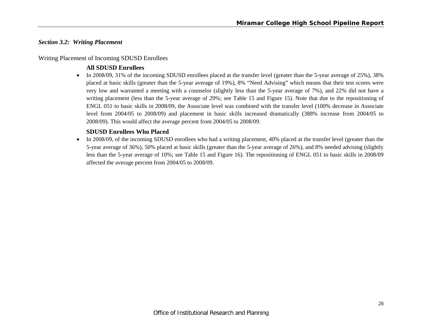### *Section 3.2: Writing Placement*

#### Writing Placement of Incoming SDUSD Enrollees

# **All SDUSD Enrollees**

• In 2008/09, 31% of the incoming SDUSD enrollees placed at the transfer level (greater than the 5-year average of 25%), 38% placed at basic skills (greater than the 5-year average of 19%), 8% "Need Advising" which means that their test scores were very low and warranted a meeting with a counselor (slightly less than the 5-year average of 7%), and 22% did not have a writing placement (less than the 5-year average of 29%; see Table 15 and Figure 15). Note that due to the repositioning of ENGL 051 to basic skills in 2008/09, the Associate level was combined with the transfer level (100% decrease in Associate level from 2004/05 to 2008/09) and placement in basic skills increased dramatically (388% increase from 2004/05 to 2008/09). This would affect the average percent from 2004/05 to 2008/09.

### **SDUSD Enrollees Who Placed**

 $\bullet$  In 2008/09, of the incoming SDUSD enrollees who had a writing placement, 40% placed at the transfer level (greater than the 5-year average of 36%), 50% placed at basic skills (greater than the 5-year average of 26%), and 8% needed advising (slightly less than the 5-year average of 10%; see Table 15 and Figure 16). The repositioning of ENGL 051 to basic skills in 2008/09 affected the average percent from 2004/05 to 2008/09.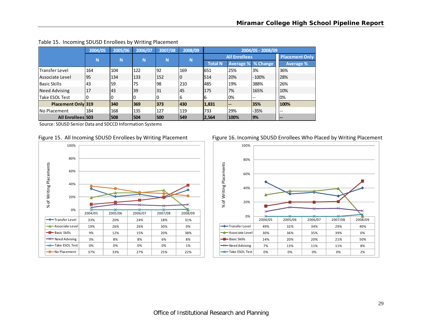|                           | 2004/05 | 2005/06 | 2006/07 | 2007/08 | 2008/09 |                |                        | 2004/05 - 2008/09 |                       |
|---------------------------|---------|---------|---------|---------|---------|----------------|------------------------|-------------------|-----------------------|
|                           | N       | N       | N       | N       | N       |                | <b>All Enrollees</b>   |                   | <b>Placement Only</b> |
|                           |         |         |         |         |         | <b>Total N</b> | <b>Average %</b>       | % Change          | <b>Average %</b>      |
| lTransfer Level           | 164     | 104     | 122     | 92      | 169     | 651            | 25%                    | 3%                | 36%                   |
| Associate Level           | 95      | 134     | 133     | 152     | l0      | 514            | 20%                    | $-100%$           | 28%                   |
| <b>Basic Skills</b>       | 43      | 59      | 75      | 98      | 210     | 485            | 19%                    | 388%              | 26%                   |
| <b>Need Advising</b>      | 17      | 43      | 39      | 31      | 45      | 175            | 7%                     | 165%              | 10%                   |
| Take ESOL Test            |         |         | 0       | 0       | 6       | 16             | 0%                     | $-$               | 0%                    |
| <b>Placement Only 319</b> |         | 340     | 369     | 373     | 430     | 1,831          | $\qquad \qquad \cdots$ | 35%               | 100%                  |
| INo Placement             | 184     | 168     | 135     | 127     | 119     | 733            | 29%                    | -35%              | $-$                   |
| <b>All Enrollees 503</b>  |         | 508     | 504     | 500     | 549     | 2,564          | 100%                   | 9%                | $- -$                 |

#### Table 15. Incoming SDUSD Enrollees by Writing Placement







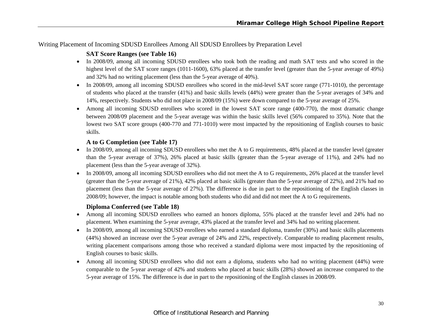# Writing Placement of Incoming SDUSD Enrollees Among All SDUSD Enrollees by Preparation Level

# **SAT Score Ranges (see Table 16)**

- In 2008/09, among all incoming SDUSD enrollees who took both the reading and math SAT tests and who scored in the highest level of the SAT score ranges (1011-1600), 63% placed at the transfer level (greater than the 5-year average of 49%) and 32% had no writing placement (less than the 5-year average of 40%).
- In 2008/09, among all incoming SDUSD enrollees who scored in the mid-level SAT score range (771-1010), the percentage of students who placed at the transfer (41%) and basic skills levels (44%) were greater than the 5-year averages of 34% and 14%, respectively. Students who did not place in 2008/09 (15%) were down compared to the 5-year average of 25%.
- Among all incoming SDUSD enrollees who scored in the lowest SAT score range (400-770), the most dramatic change between 2008/09 placement and the 5-year average was within the basic skills level (56% compared to 35%). Note that the lowest two SAT score groups (400-770 and 771-1010) were most impacted by the repositioning of English courses to basic skills.

# **A to G Completion (see Table 17)**

- In 2008/09, among all incoming SDUSD enrollees who met the A to G requirements, 48% placed at the transfer level (greater than the 5-year average of 37%), 26% placed at basic skills (greater than the 5-year average of 11%), and 24% had no placement (less than the 5-year average of 32%).
- In 2008/09, among all incoming SDUSD enrollees who did not meet the A to G requirements, 26% placed at the transfer level (greater than the 5-year average of 21%), 42% placed at basic skills (greater than the 5-year average of 22%), and 21% had no placement (less than the 5-year average of 27%). The difference is due in part to the repositioning of the English classes in 2008/09; however, the impact is notable among both students who did and did not meet the A to G requirements.

# **Diploma Conferred (see Table 18)**

- Among all incoming SDUSD enrollees who earned an honors diploma, 55% placed at the transfer level and 24% had no placement. When examining the 5-year average, 43% placed at the transfer level and 34% had no writing placement.
- In 2008/09, among all incoming SDUSD enrollees who earned a standard diploma, transfer (30%) and basic skills placements (44%) showed an increase over the 5-year average of 24% and 22%, respectively. Comparable to reading placement results, writing placement comparisons among those who received a standard diploma were most impacted by the repositioning of English courses to basic skills.
- e Among all incoming SDUSD enrollees who did not earn a diploma, students who had no writing placement (44%) were comparable to the 5-year average of 42% and students who placed at basic skills (28%) showed an increase compared to the 5-year average of 15%. The difference is due in part to the repositioning of the English classes in 2008/09.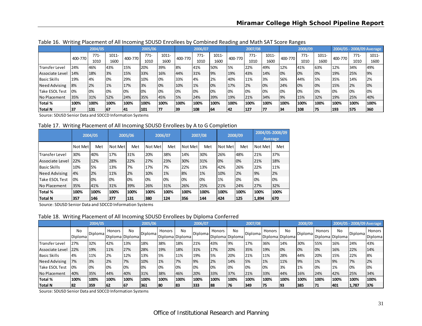|                      |         | 2004/05 |       |         | 2005/06 |       |         | 2006/07 |       |         | 2007/08 |       |         | 2008/09 |       |         |        | 2004/05 - 2008/09 Average |
|----------------------|---------|---------|-------|---------|---------|-------|---------|---------|-------|---------|---------|-------|---------|---------|-------|---------|--------|---------------------------|
|                      | 400-770 | 771-    | 1011- | 400-770 | $771-$  | 1011- | 400-770 | $771-$  | 1011- | 400-770 | $771-$  | 1011- | 400-770 | $771-$  | 1011- | 400-770 | $771-$ | 1011-                     |
|                      |         | 1010    | 1600  |         | 1010    | 1600  |         | 1010    | 1600  |         | 1010    | 1600  |         | 1010    | 1600  |         | 1010   | 1600                      |
| Transfer Level       | 24%     | 46%     | 43%   | 15%     | 20%     | 39%   | 8%      | 41%     | 50%   | 5%      | 22%     | 49%   | 12%     | 41%     | 63%   | 12%     | 34%    | 49%                       |
| Associate Level      | 14%     | 18%     | 3%    | 15%     | 33%     | 16%   | 44%     | 31%     | 9%    | 19%     | 43%     | 14%   | 0%      | 0%      | 0%    | 19%     | 25%    | 9%                        |
| <b>Basic Skills</b>  | 19%     | 4%      | 0%    | 29%     | 10%     | 0%    | 33%     | 4%      | 2%    | 40%     | 11%     | 3%    | 56%     | 44%     | 5%    | 35%     | 14%    | 2%                        |
| <b>Need Advising</b> | 8%      | 2%      | 1%    | 17%     | 3%      | 0%    | 10%     | 1%      | 0%    | 17%     | 2%      | 0%    | 24%     | 0%      | 0%    | 15%     | 2%     | 0%                        |
| Take ESOL Test       | 0%      | 0%      | 0%    | 0%      | 0%      | 0%    | 0%      | 10%     | 0%    | 10%     | 0%      | 0%    | 0%      | 0%      | 0%    | 0%      | 0%     | 0%                        |
| No Placement         | 35%     | 31%     | 52%   | 24%     | 35%     | 45%   | 5%      | 24%     | 39%   | 19%     | 21%     | 34%   | 9%      | 15%     | 32%   | 19%     | 25%    | 40%                       |
| Total %              | 100%    | 100%    | 100%  | 100%    | 100%    | 100%  | 100%    | 100%    | 100%  | 100%    | 100%    | 100%  | 100%    | 100%    | 100%  | 100%    | 100%   | 100%                      |
| <b>Total N</b>       | 37      | 131     | 67    | 41      | 101     | 177   | 39      | 108     | 64    | 42      | 127     |       | 34      | 108     | 75    | 193     | 575    | 360                       |

Table 16. Writing Placement of All Incoming SDUSD Enrollees by Combined Reading and Math SAT Score Ranges

Source: SDUSD Senior Data and SDCCD Information Systems

Table 17. Writing Placement of All Incoming SDUSD Enrollees by A to G Completion

|                       |         | 2004/05 |         | 2005/06 |         | 2006/07 |         | 2007/08 |         | 2008/09 |         | 2004/05-2008/09<br><b>Average</b> |
|-----------------------|---------|---------|---------|---------|---------|---------|---------|---------|---------|---------|---------|-----------------------------------|
|                       | Not Met | Met     | Not Met | Met     | Not Met | Met     | Not Met | Met     | Not Met | Met     | Not Met | Met                               |
| <b>Transfer Level</b> | 30%     | 40%     | 17%     | 31%     | 20%     | 38%     | 14%     | 30%     | 26%     | 48%     | 21%     | 37%                               |
| Associate Level       | 22%     | 12%     | 28%     | 22%     | 27%     | 23%     | 30%     | 31%     | 0%      | 0%      | 21%     | 18%                               |
| <b>Basic Skills</b>   | 10%     | 5%      | 13%     | 7%      | 17%     | 7%      | 22%     | 13%     | 42%     | 26%     | 22%     | 11%                               |
| <b>Need Advising</b>  | 4%      | 2%      | 11%     | 2%      | 10%     | 1%      | 8%      | 1%      | 10%     | 2%      | 9%      | 2%                                |
| <b>Take ESOL Test</b> | 0%      | 0%      | 0%      | 0%      | 0%      | 0%      | 0%      | 0%      | 1%      | 0%      | 0%      | 0%                                |
| INo Placement         | 35%     | 41%     | 31%     | 39%     | 26%     | 31%     | 26%     | 25%     | 21%     | 24%     | 27%     | 32%                               |
| lTotal %              | 100%    | 100%    | 100%    | 100%    | 100%    | 100%    | 100%    | 100%    | 100%    | 100%    | 100%    | 100%                              |
| <b>Total N</b>        | 357     | 146     | 377     | 131     | 380     | 124     | 356     | 144     | 424     | 125     | 1,894   | 670                               |

Source: SDUSD Senior Data and SDCCD Information Systems

Table 18. Writing Placement of All Incoming SDUSD Enrollees by Diploma Conferred

|                 |                      | 2004/05 |        |                       | 2005/06 |                           |      | 2006/07 |        |                       | 2007/08        |        |                              | 2008/09        |        |                       | 2004/05 - 2008/09 Average |                   |
|-----------------|----------------------|---------|--------|-----------------------|---------|---------------------------|------|---------|--------|-----------------------|----------------|--------|------------------------------|----------------|--------|-----------------------|---------------------------|-------------------|
|                 | No<br><b>Diploma</b> | Diploma | Honors | No<br>Diploma Diploma | Diploma | Honors<br>Diploma Diploma | No   | Diploma | Honors | No<br>Diploma Diploma | <b>Diploma</b> | Honors | <b>No</b><br>Diploma Diploma | <b>Diploma</b> | Honors | No<br>Diploma Diploma | Diploma                   | Honors<br>Diploma |
| Transfer Level  | 27%                  | 32%     | 42%    | 13%                   | 18%     | 38%                       | 18%  | 21%     | 43%    | 9%                    | 17%            | 36%    | 14%                          | 30%            | 55%    | 16%                   | 24%                       | 43%               |
| Associate Level | 22%                  | 19%     | 11%    | 27%                   | 28%     | 19%                       | 18%  | 31%     | 17%    | 20%                   | 35%            | 19%    | 0%                           | 0%             | 0%     | 16%                   | 22%                       | 14%               |
| Basic Skills    | 4%                   | 11%     | 2%     | 12%                   | 13%     | 5%                        | 11%  | 19%     | 5%     | 20%                   | 21%            | 11%    | 28%                          | 44%            | 20%    | 15%                   | 22%                       | 8%                |
| Need Advising   | 7%                   | 3%      | 2%     | 7%                    | 10%     | 1%                        | 7%   | 9%      | 2%     | 14%                   | 5%             | 1%     | 11%                          | 9%             | 1%     | 9%                    | 7%                        | 2%                |
| Take ESOL Test  | 0%                   | 0%      | 0%     | 0%                    | 10%     | 10%                       | 0%   | 0%      | 0%     | 0%                    | 0%             | 0%     | 3%                           | 1%             | 0%     | 1%                    | 0%                        | 0%                |
| No Placement    | 40%                  | 35%     | 44%    | 40%                   | 31%     | 38%                       | 46%  | 20%     | 33%    | 37%                   | 21%            | 33%    | 44%                          | 16%            | 24%    | 42%                   | 25%                       | 34%               |
| Total %         | 100%                 | 100%    | 100%   | 100%                  | 100%    | 100%                      | 100% | 100%    | 100%   | 100%                  | 100%           | 100%   | 100%                         | 100%           | 100%   | 100%                  | 100%                      | 100%              |
| Total N         | 82                   | 359     | 62     | 167                   | 361     | 80                        | 83   | 333     | 188    | 76                    | 349            |        | 93                           | 385            | 71     | 401                   | 1,787                     | 376               |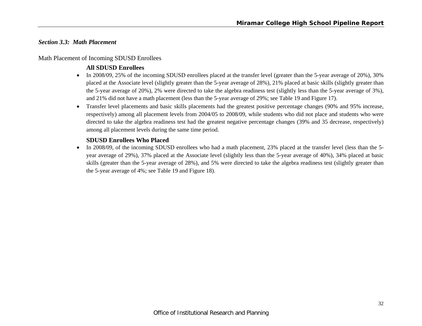# *Section 3.3: Math Placement*

### Math Placement of Incoming SDUSD Enrollees

# **All SDUSD Enrollees**

- In 2008/09, 25% of the incoming SDUSD enrollees placed at the transfer level (greater than the 5-year average of 20%), 30% placed at the Associate level (slightly greater than the 5-year average of 28%), 21% placed at basic skills (slightly greater than the 5-year average of 20%), 2% were directed to take the algebra readiness test (slightly less than the 5-year average of 3%), and 21% did not have a math placement (less than the 5-year average of 29%; see Table 19 and Figure 17).
- Transfer level placements and basic skills placements had the greatest positive percentage changes (90% and 95% increase, respectively) among all placement levels from 2004/05 to 2008/09, while students who did not place and students who were directed to take the algebra readiness test had the greatest negative percentage changes (39% and 35 decrease, respectively) among all placement levels during the same time period.

# **SDUSD Enrollees Who Placed**

 $\bullet$  In 2008/09, of the incoming SDUSD enrollees who had a math placement, 23% placed at the transfer level (less than the 5 year average of 29%), 37% placed at the Associate level (slightly less than the 5-year average of 40%), 34% placed at basic skills (greater than the 5-year average of 28%), and 5% were directed to take the algebra readiness test (slightly greater than the 5-year average of 4%; see Table 19 and Figure 18).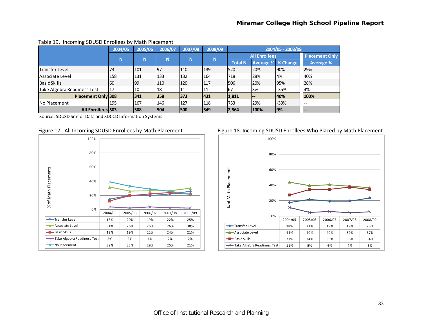|                             | 2004/05 | 2005/06 | 2006/07 | 2007/08 | 2008/09 |                |                           | 2004/05 - 2008/09 |                              |
|-----------------------------|---------|---------|---------|---------|---------|----------------|---------------------------|-------------------|------------------------------|
|                             | N       | N       | N       | N       | N       |                | <b>All Enrollees</b>      |                   | <b>Placement Only</b>        |
|                             |         |         |         |         |         | <b>Total N</b> | <b>Average % % Change</b> |                   | <b>Average %</b>             |
| Transfer Level              | 73      | 101     | 97      | 110     | 139     | 1520           | 20%                       | 90%               | 29%                          |
| lAssociate Level            | 158     | 131     | 133     | 132     | 164     | 718            | 28%                       | l4%               | 40%                          |
| Basic Skills                | 60      | 199     | 110     | 120     | 117     | 506            | 20%                       | 95%               | 28%                          |
| Take Algebra Readiness Test | 17      | 10      | 18      | 11      | 11      | 67             | 3%                        | $-35%$            | 4%                           |
| Placement Only 308          |         | 341     | 358     | 373     | 431     | 1,811          | $- -$                     | 40%               | 100%                         |
| <b>No Placement</b>         | 195     | 167     | 146     | 127     | 118     | 753            | 29%                       | $-39%$            | $-$                          |
| All Enrollees 503           |         | 508     | 504     | 500     | 549     | 2,564          | 100%                      | <b>9%</b>         | $\qquad \qquad \blacksquare$ |

#### Table 19. Incoming SDUSD Enrollees by Math Placement

Source: SDUSD Senior Data and SDCCD Information Systems



#### Figure 17. All Incoming SDUSD Enrollees by Math Placement Figure 18. Incoming SDUSD Enrollees Who Placed by Math Placement

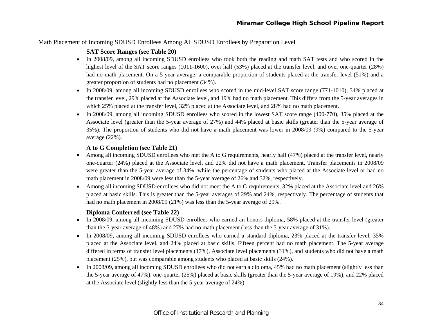# Math Placement of Incoming SDUSD Enrollees Among All SDUSD Enrollees by Preparation Level

# **SAT Score Ranges (see Table 20)**

- In 2008/09, among all incoming SDUSD enrollees who took both the reading and math SAT tests and who scored in the highest level of the SAT score ranges (1011-1600), over half (53%) placed at the transfer level, and over one-quarter (28%) had no math placement. On a 5-year average, a comparable proportion of students placed at the transfer level (51%) and a greater proportion of students had no placement (34%).
- In 2008/09, among all incoming SDUSD enrollees who scored in the mid-level SAT score range (771-1010), 34% placed at the transfer level, 29% placed at the Associate level, and 19% had no math placement. This differs from the 5-year averages in which 25% placed at the transfer level, 32% placed at the Associate level, and 28% had no math placement.
- In 2008/09, among all incoming SDUSD enrollees who scored in the lowest SAT score range (400-770), 35% placed at the Associate level (greater than the 5-year average of 27%) and 44% placed at basic skills (greater than the 5-year average of 35%). The proportion of students who did not have a math placement was lower in 2008/09 (9%) compared to the 5-year average (22%).

# **A to G Completion (see Table 21)**

- Among all incoming SDUSD enrollees who met the A to G requirements, nearly half (47%) placed at the transfer level, nearly one-quarter (24%) placed at the Associate level, and 22% did not have a math placement. Transfer placements in 2008/09 were greater than the 5-year average of 34%, while the percentage of students who placed at the Associate level or had no math placement in 2008/09 were less than the 5-year average of 26% and 32%, respectively.
- Among all incoming SDUSD enrollees who did not meet the A to G requirements, 32% placed at the Associate level and 26% placed at basic skills. This is greater than the 5-year averages of 29% and 24%, respectively. The percentage of students that had no math placement in 2008/09 (21%) was less than the 5-year average of 29%.

# **Diploma Conferred (see Table 22)**

- In 2008/09, among all incoming SDUSD enrollees who earned an honors diploma, 58% placed at the transfer level (greater than the 5-year average of 48%) and 27% had no math placement (less than the 5-year average of 31%).
- 0 In 2008/09, among all incoming SDUSD enrollees who earned a standard diploma, 23% placed at the transfer level, 35% placed at the Associate level, and 24% placed at basic skills. Fifteen percent had no math placement. The 5-year average differed in terms of transfer level placements (17%), Associate level placements (31%), and students who did not have a math placement (25%), but was comparable among students who placed at basic skills (24%).
- In 2008/09, among all incoming SDUSD enrollees who did not earn a diploma, 45% had no math placement (slightly less than the 5-year average of 47%), one-quarter (25%) placed at basic skills (greater than the 5-year average of 19%), and 22% placed at the Associate level (slightly less than the 5-year average of 24%).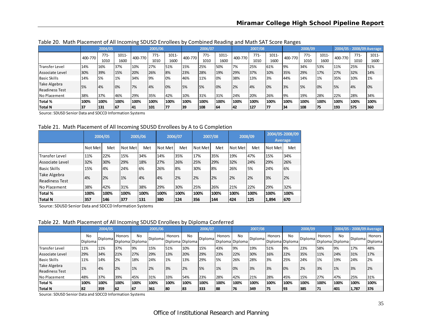|                       |         | 2004/05 |       |         | 2005/06 |       |         | 2006/07 |          |         | 2007/08 |       |         | 2008/09 |          |         |        | 2004/05 - 2008/09 Average |
|-----------------------|---------|---------|-------|---------|---------|-------|---------|---------|----------|---------|---------|-------|---------|---------|----------|---------|--------|---------------------------|
|                       | 400-770 | $771-$  | 1011- | 400-770 | $771-$  | 1011- | 400-770 | $771-$  | $1011 -$ | 400-770 | $771-$  | 1011- | 400-770 | $771-$  | $1011 -$ | 400-770 | $771-$ | $1011 -$                  |
|                       |         | 1010    | 1600  |         | 1010    | 1600  |         | 1010    | 1600     |         | 1010    | 1600  |         | 1010    | 1600     |         | 1010   | 1600                      |
| <b>Transfer Level</b> | 14%     | 16%     | 37%   | 10%     | 27%     | 51%   | 15%     | 25%     | 50%      | 7%      | 25%     | 61%   | 19%     | 34%     | 53%      | 11%     | 25%    | 51%                       |
| Associate Level       | 30%     | 39%     | 15%   | 20%     | 26%     | 8%    | 23%     | 28%     | 19%      | 29%     | 37%     | 10%   | 35%     | 29%     | 17%      | 27%     | 32%    | 14%                       |
| <b>Basic Skills</b>   | 14%     | 5%      | 1%    | 34%     | 9%      | 0%    | 46%     | 11%     | 10%      | 38%     | 13%     | 3%    | 44%     | 14%     | 1%       | 35%     | 10%    | 1%                        |
| Take Algebra          | 5%      | 4%      | 10%   | 7%      | 4%      | 0%    | 5%      | 5%      | 10%      | 2%      | 4%      | 0%    | 3%      | 5%      | 0%       | 5%      | 4%     | 10%                       |
| <b>Readiness Test</b> |         |         |       |         |         |       |         |         |          |         |         |       |         |         |          |         |        |                           |
| No Placement          | 38%     | 37%     | 46%   | 29%     | 35%     | 42%   | 10%     | 31%     | 31%      | 24%     | 20%     | 26%   | 19%     | 19%     | 28%      | 22%     | 28%    | 34%                       |
| <b>Total %</b>        | 100%    | 100%    | 100%  | 100%    | 100%    | 100%  | 100%    | 100%    | 100%     | 100%    | 100%    | 100%  | 100%    | 100%    | 100%     | 100%    | 100%   | 100%                      |
| Total N               | 37      | 131     | 67    | 141     | 101     | 77    | 39      | 108     | 164      | 42      | 127     | 177   | 134     | 108     | 75       | 193     | 575    | 360                       |

Table 20. Math Placement of All Incoming SDUSD Enrollees by Combined Reading and Math SAT Score Ranges

Source: SDUSD Senior Data and SDCCD Information Systems

Table 21. Math Placement of All Incoming SDUSD Enrollees by A to G Completion

|                                       |         | 2004/05 |         | 2005/06 |         | 2006/07 |         | 2007/08 |         | 2008/09 |         | 2004/05-2008/09<br><b>Average</b> |
|---------------------------------------|---------|---------|---------|---------|---------|---------|---------|---------|---------|---------|---------|-----------------------------------|
|                                       | Not Met | Met     | Not Met | Met     | Not Met | Met     | Not Met | Met     | Not Met | Met     | Not Met | Met                               |
| <b>Transfer Level</b>                 | 11%     | 22%     | 15%     | 34%     | 14%     | 35%     | 17%     | 35%     | 19%     | 47%     | 15%     | 34%                               |
| Associate Level                       | 32%     | 30%     | 29%     | 18%     | 27%     | 26%     | 25%     | 29%     | 32%     | 24%     | 29%     | 26%                               |
| <b>Basic Skills</b>                   | 15%     | 4%      | 24%     | 6%      | 26%     | 8%      | 30%     | 8%      | 26%     | 5%      | 24%     | 6%                                |
| Take Algebra<br><b>Readiness Test</b> | 4%      | 2%      | 1%      | 4%      | 4%      | 2%      | 2%      | 2%      | 2%      | 2%      | 3%      | 2%                                |
| <b>No Placement</b>                   | 38%     | 42%     | 31%     | 38%     | 29%     | 30%     | 25%     | 26%     | 21%     | 22%     | 29%     | 32%                               |
| Total %                               | 100%    | 100%    | 100%    | 100%    | 100%    | 100%    | 100%    | 100%    | 100%    | 100%    | 100%    | 100%                              |
| <b>Total N</b>                        | 357     | 146     | 377     | 131     | 380     | 124     | 356     | 144     | 424     | 125     | 1,894   | 670                               |

Source: SDUSD Senior Data and SDCCD Information Systems

Table 22. Math Placement of All Incoming SDUSD Enrollees by Diploma Conferred

|                                       |               | 2004/05        |        |                                   | 2005/06 |                           | 2006/07 |         |               | 2007/08               |                | 2008/09                   |           |         | 2004/05 - 2008/09 Average |      |         |                   |
|---------------------------------------|---------------|----------------|--------|-----------------------------------|---------|---------------------------|---------|---------|---------------|-----------------------|----------------|---------------------------|-----------|---------|---------------------------|------|---------|-------------------|
|                                       | No<br>Diploma | <b>Diploma</b> | Honors | N <sub>0</sub><br>Diploma Diploma | Diploma | Honors<br>Diploma Diploma | No      | Diploma | <b>Honors</b> | No<br>Diploma Diploma | <b>Diploma</b> | Honors<br>Diploma Diploma | <b>No</b> | Diploma | Honors<br>Diploma Diploma | No   | Diploma | Honors<br>Diploma |
| <b>Transfer Level</b>                 | 11%           | 11%            | 37%    | 19%                               | 15%     | 51%                       | 10%     | 15%     | 43%           | 9%                    | 19%            | 51%                       | 19%       | 23%     | 58%                       | 9%   | 17%     | 48%               |
| Associate Level                       | 29%           | 34%            | 21%    | 27%                               | 29%     | 13%                       | 20%     | 29%     | 23%           | 22%                   | 30%            | 16%                       | 22%       | 35%     | 11%                       | 24%  | 31%     | 17%               |
| <b>Basic Skills</b>                   | 11%           | 14%            | 2%     | 18%                               | 24%     | 1%                        | 13%     | 29%     | 5%            | 26%                   | 28%            | 3%                        | 25%       | 24%     | 1%                        | 19%  | 24%     | 2%                |
| Take Algebra<br><b>Readiness Test</b> | 1%            | 4%             | 2%     | 1%                                | 2%      | 3%                        | 2%      | 5%      | 1%            | 0%                    | 3%             | 3%                        | 10%       | 2%      | 3%                        | 1%   | 3%      | 2%                |
| No Placement                          | 48%           | 37%            | 39%    | 45%                               | 31%     | 33%                       | 54%     | 23%     | 28%           | 42%                   | 21%            | 28%                       | 45%       | 15%     | 27%                       | 47%  | 25%     | 31%               |
| <b>Total %</b>                        | 100%          | 100%           | 100%   | 100%                              | 100%    | 100%                      | 100%    | 100%    | 100%          | 100%                  | 100%           | 100%                      | 100%      | 100%    | 100%                      | 100% | 100%    | 100%              |
| Total N                               | 82            | 359            | '62    | 167                               | 361     | 80                        | 183     | 333     | 188           | 76                    | 349            | 75                        | 193       | 385     | 71                        | 401  | 1,787   | 1376              |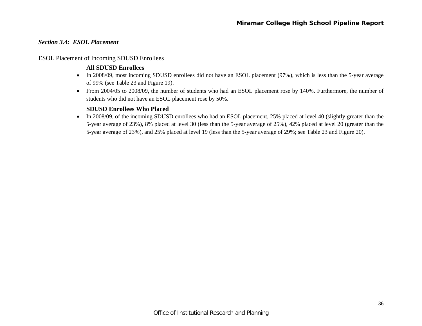# *Section 3.4: ESOL Placement*

# ESOL Placement of Incoming SDUSD Enrollees

# **All SDUSD Enrollees**

- In 2008/09, most incoming SDUSD enrollees did not have an ESOL placement (97%), which is less than the 5-year average of 99% (see Table 23 and Figure 19).
- From 2004/05 to 2008/09, the number of students who had an ESOL placement rose by 140%. Furthermore, the number of students who did not have an ESOL placement rose by 50%.

# **SDUSD Enrollees Who Placed**

• In 2008/09, of the incoming SDUSD enrollees who had an ESOL placement, 25% placed at level 40 (slightly greater than the 5-year average of 23%), 8% placed at level 30 (less than the 5-year average of 25%), 42% placed at level 20 (greater than the 5-year average of 23%), and 25% placed at level 19 (less than the 5-year average of 29%; see Table 23 and Figure 20).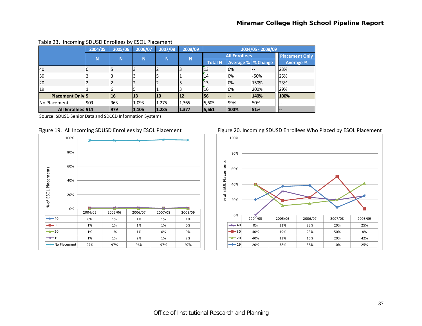|                     | 2004/05 | 2005/06 | 2006/07 | 2007/08 | 2008/09 |                |                      | 2004/05 - 2008/09 |                       |
|---------------------|---------|---------|---------|---------|---------|----------------|----------------------|-------------------|-----------------------|
|                     | N       | N       | N       | N       | N       |                | <b>All Enrollees</b> |                   | <b>Placement Only</b> |
|                     |         |         |         |         |         | <b>Total N</b> | Average % % Change   |                   | Average %             |
| 40                  |         |         |         |         |         | 13             | 0%                   | $- -$             | 23%                   |
| 30                  |         |         |         |         |         | 14             | 0%                   | -50%              | 25%                   |
| l20                 |         |         |         |         | 5       | 13             | 0%                   | 150%              | 23%                   |
| 19                  |         | b       |         |         |         | 16             | 0%                   | 200%              | 29%                   |
| Placement Only 5    |         | 16      | 13      | 10      | 12      | <b>IS6</b>     | $\qquad \qquad -$    | 140%              | 100%                  |
| <b>No Placement</b> | 909     | 963     | 1,093   | 1,275   | 1,365   | 5,605          | 99%                  | 50%               | $- -$                 |
| All Enrollees 914   |         | 979     | 1,106   | 1,285   | 1,377   | 5,661          | 100%                 | 51%               | <b>.</b>              |

#### Table 23. Incoming SDUSD Enrollees by ESOL Placement

Source: SDUSD Senior Data and SDCCD Information Systems



#### Figure 19. All Incoming SDUSD Enrollees by ESOL Placement Figure 20. Incoming SDUSD Enrollees Who Placed by ESOL Placement

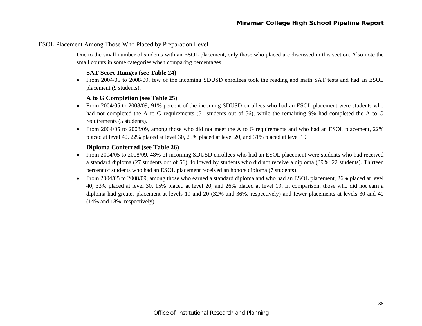### ESOL Placement Among Those Who Placed by Preparation Level

Due to the small number of students with an ESOL placement, only those who placed are discussed in this section. Also note the small counts in some categories when comparing percentages.

# **SAT Score Ranges (see Table 24)**

 From 2004/05 to 2008/09, few of the incoming SDUSD enrollees took the reading and math SAT tests and had an ESOL placement (9 students).

# **A to G Completion (see Table 25)**

- From 2004/05 to 2008/09, 91% percent of the incoming SDUSD enrollees who had an ESOL placement were students who had not completed the A to G requirements (51 students out of 56), while the remaining 9% had completed the A to G requirements (5 students).
- From 2004/05 to 2008/09, among those who did not meet the A to G requirements and who had an ESOL placement, 22% placed at level 40, 22% placed at level 30, 25% placed at level 20, and 31% placed at level 19.

### **Diploma Conferred (see Table 26)**

- From 2004/05 to 2008/09, 48% of incoming SDUSD enrollees who had an ESOL placement were students who had received a standard diploma (27 students out of 56), followed by students who did not receive a diploma (39%; 22 students). Thirteen percent of students who had an ESOL placement received an honors diploma (7 students).
- 0 From 2004/05 to 2008/09, among those who earned a standard diploma and who had an ESOL placement, 26% placed at level 40, 33% placed at level 30, 15% placed at level 20, and 26% placed at level 19. In comparison, those who did not earn a diploma had greater placement at levels 19 and 20 (32% and 36%, respectively) and fewer placements at levels 30 and 40 (14% and 18%, respectively).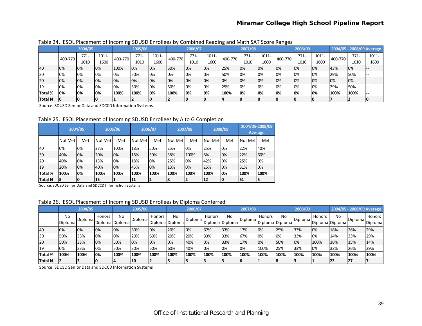|                |         | 2004/05 |       |         | 2005/06 |          |         | 2006/07 |          |         | 2007/08 |          |         | 2008/09 |       |         |        | 2004/05 - 2008/09 Average |
|----------------|---------|---------|-------|---------|---------|----------|---------|---------|----------|---------|---------|----------|---------|---------|-------|---------|--------|---------------------------|
|                | 400-770 | $771-$  | 1011- | 400-770 | $771-$  | $1011 -$ | 400-770 | $771-$  | $1011 -$ | 400-770 | $771-$  | $1011 -$ | 400-770 | $771 -$ | 1011- | 400-770 | $771-$ | $1011 -$                  |
|                |         | 1010    | 1600  |         | 1010    | 1600     |         | 1010    | 1600     |         | 1010    | 1600     |         | 1010    | 1600  |         | 1010   | 1600                      |
| 40             | 0%      | 0%      | 0%    | 100%    | 10%     | 10%      | 50%     | 10%     | 0%       | 25%     | 0%      | 0%       | 0%      | 0%      | 0%    | 43%     | 10%    |                           |
| 130            | 0%      | 10%     | 0%    | 10%     | 50%     | 10%      | 10%     | 10%     | 0%       | 50%     | 0%      | 0%       | 0%      | 0%      | 0%    | 29%     | 50%    |                           |
| 120            | 0%      | 10%     | 0%    | 0%      | 10%     | 10%      | 10%     | 10%     | 0%       | 10%     | 0%      | 0%       | 0%      | 0%      | 0%    | 10%     | 10%    |                           |
| 119            | 0%      | 10%     | 0%    | 0%      | 50%     | 10%      | 50%     | 10%     | 0%       | 25%     | 0%      | 0%       | 0%      | 0%      | 0%    | 29%     | 50%    |                           |
| Total %        | 0%      | 10%     | 10%   | 100%    | 100%    | 10%      | 100%    | 10%     | 0%       | 100%    | 0%      | 0%       | 10%     | 10%     | 0%    | 100%    | 100%   |                           |
| <b>Total N</b> | 10      |         |       |         |         | IO       |         |         | 0        |         | ΙO      |          |         |         |       |         |        |                           |

Table 24. ESOL Placement of Incoming SDUSD Enrollees by Combined Reading and Math SAT Score Ranges

Source: SDUSD Senior Data and SDCCD Information Systems

Table 25. ESOL Placement of Incoming SDUSD Enrollees by A to G Completion

|                |          | 2004/05 |         | 2005/06 |         | 2006/07 |                 | 2007/08 |         | 2008/09 | 2004/05-2008/09 | <b>Average</b> |
|----------------|----------|---------|---------|---------|---------|---------|-----------------|---------|---------|---------|-----------------|----------------|
|                | Not Metl | Met     | Not Met | Met     | Not Met | Met     | <b>Not Metl</b> | Met     | Not Met | Met     | l Not Met       | Met            |
| 40             | 0%       | 0%      | 27%     | 100%    | 18%     | 50%     | 25%             | 0%      | 25%     | 0%      | 22%             | 40%            |
| 30             | 40%      | 0%      | 20%     | 0%      | 18%     | 50%     | 38%             | 100%    | 8%      | 0%      | 22%             | 60%            |
| 20             | 40%      | 0%      | 13%     | 0%      | 18%     | 0%      | 25%             | 0%      | 42%     | 0%      | 25%             | 0%             |
| 19             | 20%      | 0%      | 40%     | 0%      | 45%     | 0%      | 13%             | 0%      | 25%     | 0%      | 31%             | 0%             |
| Total %        | 100%     | 0%      | 100%    | 100%    | 100%    | 100%    | 100%            | 100%    | 100%    | 0%      | 100%            | 100%           |
| <b>Total N</b> | 5        |         | 15      | 1       | 11      |         | 18              |         | 12      | 10      | 151             | 5              |

Source: SDUSD Senior Data and SDCCD Information Systems

Table 26. ESOL Placement of Incoming SDUSD Enrollees by Diploma Conferred

|                |          | 2004/05          |        |                 | 2005/06          |        |                 | 2006/07         |               |                 | 2007/08        |               |                 | 2008/09        |        |                 |         | 2004/05 - 2008/09 Average |
|----------------|----------|------------------|--------|-----------------|------------------|--------|-----------------|-----------------|---------------|-----------------|----------------|---------------|-----------------|----------------|--------|-----------------|---------|---------------------------|
|                | No       | <b>IDiplomal</b> | Honors | No              | <b>IDiplomal</b> | Honors | No              | <b>Diplomal</b> | <b>Honors</b> | No              | <b>Diploma</b> | <b>Honors</b> | No              | <b>Diploma</b> | Honors | No              | Diploma | Honors                    |
|                | Diplomal |                  |        | Diploma Diploma |                  |        | Diploma Diploma |                 |               | Diploma Diploma |                |               | Diploma Diploma |                |        | Diploma Diploma |         | <b>Diploma</b>            |
| 40             | 0%       | 10%              | 0%     | 0%              | '50%             | 0%     | 20%             | 10%             | 67%           | 33%             | 17%            | 0%            | 25%             | 33%            | 0%     | 18%             | 26%     | 29%                       |
| 130            | 50%      | 33%              | 0%     | 0%              | 20%              | 50%    | 20%             | 20%             | 33%           | 33%             | 67%            | 0%            | 0%              | 33%            | 0%     | 14%             | 33%     | 29%                       |
| 20             | 50%      | 33%              | 0%     | 50%             | 0%               | 0%     | 10%             | 40%             | 0%            | 33%             | 17%            | 0%            | 50%             | 10%            | 100%   | 36%             | 15%     | 14%                       |
| 19             | 0%       | 33%              | 10%    | 50%             | 30%              | 50%    | 60%             | 40%             | 0%            | 0%              | 10%            | 100%          | 25%             | 33%            | 0%     | 32%             | 26%     | 29%                       |
| <b>Total %</b> | 100%     | 100%             | 0%     | 100%            | 100%             | 100%   | 100%            | 100%            | 100%          | 100%            | 100%           | 100%          | 100%            | 100%           | 100%   | 100%            | 100%    | 100%                      |
| Total N        |          |                  |        |                 | 10               |        |                 |                 |               |                 | 16             |               |                 |                |        | 22              | 27      |                           |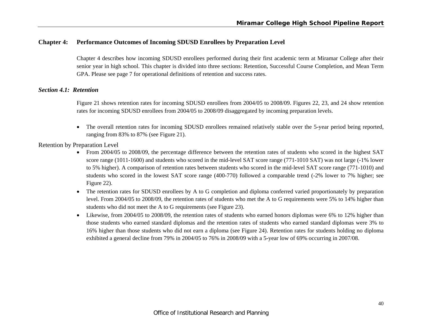# **Chapter 4: Performance Outcomes of Incoming SDUSD Enrollees by Preparation Level**

Chapter 4 describes how incoming SDUSD enrollees performed during their first academic term at Miramar College after their senior year in high school. This chapter is divided into three sections: Retention, Successful Course Completion, and Mean Term GPA. Please see page 7 for operational definitions of retention and success rates.

### *Section 4.1: Retention*

Figure 21 shows retention rates for incoming SDUSD enrollees from 2004/05 to 2008/09. Figures 22, 23, and 24 show retention rates for incoming SDUSD enrollees from 2004/05 to 2008/09 disaggregated by incoming preparation levels.

 $\bullet$  The overall retention rates for incoming SDUSD enrollees remained relatively stable over the 5-year period being reported, ranging from 83% to 87% (see Figure 21).

### Retention by Preparation Level

- e From 2004/05 to 2008/09, the percentage difference between the retention rates of students who scored in the highest SAT score range (1011-1600) and students who scored in the mid-level SAT score range (771-1010 SAT) was not large (-1% lower to 5% higher). A comparison of retention rates between students who scored in the mid-level SAT score range (771-1010) and students who scored in the lowest SAT score range (400-770) followed a comparable trend (-2% lower to 7% higher; see Figure 22).
- The retention rates for SDUSD enrollees by A to G completion and diploma conferred varied proportionately by preparation level. From 2004/05 to 2008/09, the retention rates of students who met the A to G requirements were 5% to 14% higher than students who did not meet the A to G requirements (see Figure 23).
- Likewise, from 2004/05 to 2008/09, the retention rates of students who earned honors diplomas were 6% to 12% higher than those students who earned standard diplomas and the retention rates of students who earned standard diplomas were 3% to 16% higher than those students who did not earn a diploma (see Figure 24). Retention rates for students holding no diploma exhibited a general decline from 79% in 2004/05 to 76% in 2008/09 with a 5-year low of 69% occurring in 2007/08.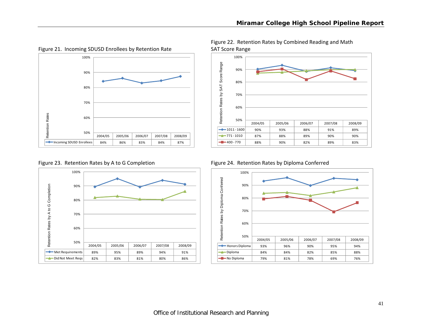

Figure 21. Incoming SDUSD Enrollees by Retention Rate SAT Score Range





Figure 22. Retention Rates by Combined Reading and Math



Figure 24. Retention Rates by Diploma Conferred

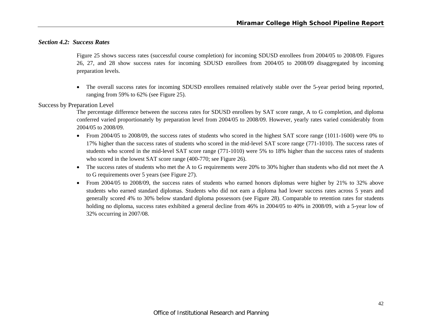# *Section 4.2: Success Rates*

Figure 25 shows success rates (successful course completion) for incoming SDUSD enrollees from 2004/05 to 2008/09. Figures 26, 27, and 28 show success rates for incoming SDUSD enrollees from 2004/05 to 2008/09 disaggregated by incoming preparation levels.

 The overall success rates for incoming SDUSD enrollees remained relatively stable over the 5-year period being reported, ranging from 59% to 62% (see Figure 25).

#### Success by Preparation Level

The percentage difference between the success rates for SDUSD enrollees by SAT score range, A to G completion, and diploma conferred varied proportionately by preparation level from 2004/05 to 2008/09. However, yearly rates varied considerably from 2004/05 to 2008/09.

- From 2004/05 to 2008/09, the success rates of students who scored in the highest SAT score range (1011-1600) were 0% to 17% higher than the success rates of students who scored in the mid-level SAT score range (771-1010). The success rates of students who scored in the mid-level SAT score range (771-1010) were 5% to 18% higher than the success rates of students who scored in the lowest SAT score range (400-770; see Figure 26).
- The success rates of students who met the A to G requirements were 20% to 30% higher than students who did not meet the A to G requirements over 5 years (see Figure 27).
- $\bullet$  From 2004/05 to 2008/09, the success rates of students who earned honors diplomas were higher by 21% to 32% above students who earned standard diplomas. Students who did not earn a diploma had lower success rates across 5 years and generally scored 4% to 30% below standard diploma possessors (see Figure 28). Comparable to retention rates for students holding no diploma, success rates exhibited a general decline from 46% in 2004/05 to 40% in 2008/09, with a 5-year low of 32% occurring in 2007/08.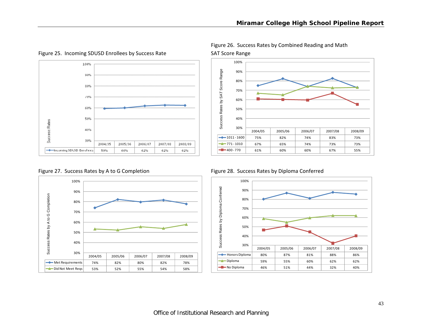

Figure 25. Incoming SDUSD Enrollees by Success Rate SAT Score Range

Figure 27. Success Rates by A to G



50%60%70% 80%90%100%



67% 65% 74% 73% 73%

61% 60% 60% 67% 55%

Figure 26. Success Rates by Combined Reading and Math

771 ‐ 1010

400 ‐ 770

Figure 28. Success Rates by Diploma Conferred



55%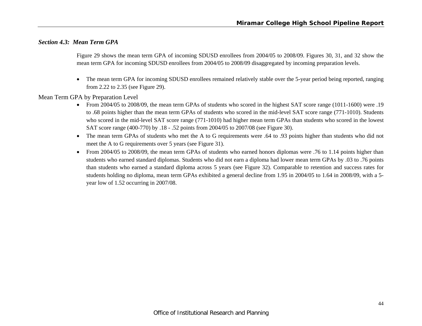# *Section 4.3: Mean Term GPA*

Figure 29 shows the mean term GPA of incoming SDUSD enrollees from 2004/05 to 2008/09. Figures 30, 31, and 32 show the mean term GPA for incoming SDUSD enrollees from 2004/05 to 2008/09 disaggregated by incoming preparation levels.

6 The mean term GPA for incoming SDUSD enrollees remained relatively stable over the 5-year period being reported, ranging from 2.22 to 2.35 (see Figure 29).

Mean Term GPA by Preparation Level

- From 2004/05 to 2008/09, the mean term GPAs of students who scored in the highest SAT score range (1011-1600) were .19 to .68 points higher than the mean term GPAs of students who scored in the mid-level SAT score range (771-1010). Students who scored in the mid-level SAT score range (771-1010) had higher mean term GPAs than students who scored in the lowest SAT score range (400-770) by .18 - .52 points from 2004/05 to 2007/08 (see Figure 30).
- The mean term GPAs of students who met the A to G requirements were .64 to .93 points higher than students who did not meet the A to G requirements over 5 years (see Figure 31).
- $\bullet$  From 2004/05 to 2008/09, the mean term GPAs of students who earned honors diplomas were .76 to 1.14 points higher than students who earned standard diplomas. Students who did not earn a diploma had lower mean term GPAs by .03 to .76 points than students who earned a standard diploma across 5 years (see Figure 32). Comparable to retention and success rates for students holding no diploma, mean term GPAs exhibited a general decline from 1.95 in 2004/05 to 1.64 in 2008/09, with a 5 year low of 1.52 occurring in 2007/08.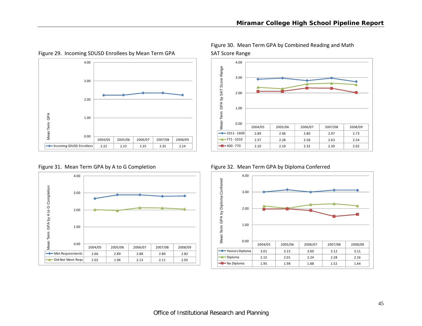

Figure 29. Incoming SDUSD Enrollees by Mean Term GPA SAT Score Range

Figure 31. Mean Term GPA by A to G





Figure 30. Mean Term GPA by Combined Reading and Math

Figure 32. Mean Term GPA by Diploma Conferred

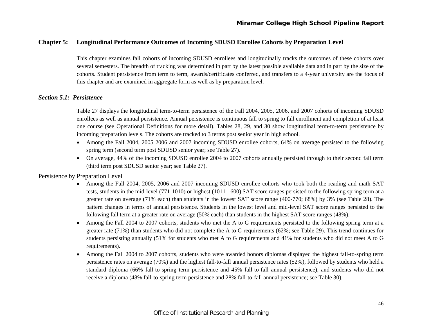# **Chapter 5: Longitudinal Performance Outcomes of Incoming SDUSD Enrollee Cohorts by Preparation Level**

This chapter examines fall cohorts of incoming SDUSD enrollees and longitudinally tracks the outcomes of these cohorts over several semesters. The breadth of tracking was determined in part by the latest possible available data and in part by the size of the cohorts. Student persistence from term to term, awards/certificates conferred, and transfers to a 4-year university are the focus of this chapter and are examined in aggregate form as well as by preparation level.

# *Section 5.1: Persistence*

Table 27 displays the longitudinal term-to-term persistence of the Fall 2004, 2005, 2006, and 2007 cohorts of incoming SDUSD enrollees as well as annual persistence. Annual persistence is continuous fall to spring to fall enrollment and completion of at least one course (see Operational Definitions for more detail). Tables 28, 29, and 30 show longitudinal term-to-term persistence by incoming preparation levels. The cohorts are tracked to 3 terms post senior year in high school.

- Among the Fall 2004, 2005 2006 and 2007 incoming SDUSD enrollee cohorts, 64% on average persisted to the following spring term (second term post SDUSD senior year; see Table 27).
- On average, 44% of the incoming SDUSD enrollee 2004 to 2007 cohorts annually persisted through to their second fall term (third term post SDUSD senior year; see Table 27).

Persistence by Preparation Level

- Among the Fall 2004, 2005, 2006 and 2007 incoming SDUSD enrollee cohorts who took both the reading and math SAT tests, students in the mid-level (771-1010) or highest (1011-1600) SAT score ranges persisted to the following spring term at a greater rate on average (71% each) than students in the lowest SAT score range (400-770; 68%) by 3% (see Table 28). The pattern changes in terms of annual persistence. Students in the lowest level and mid-level SAT score ranges persisted to the following fall term at a greater rate on average (50% each) than students in the highest SAT score ranges (48%).
- 0 Among the Fall 2004 to 2007 cohorts, students who met the A to G requirements persisted to the following spring term at a greater rate (71%) than students who did not complete the A to G requirements (62%; see Table 29). This trend continues for students persisting annually (51% for students who met A to G requirements and 41% for students who did not meet A to G requirements).
- 0 Among the Fall 2004 to 2007 cohorts, students who were awarded honors diplomas displayed the highest fall-to-spring term persistence rates on average (70%) and the highest fall-to-fall annual persistence rates (52%), followed by students who held a standard diploma (66% fall-to-spring term persistence and 45% fall-to-fall annual persistence), and students who did not receive a diploma (48% fall-to-spring term persistence and 28% fall-to-fall annual persistence; see Table 30).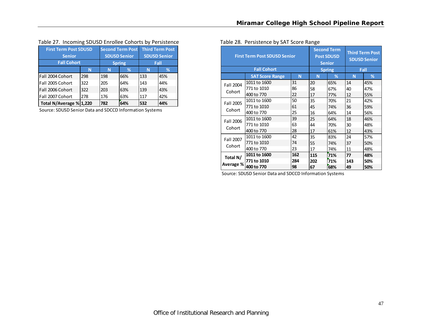| $10000$ $\pm 71$ $11000$ $11111$ $\pm 0000$ $\pm 000$ $\pm 111$ $01100$ $\pm 0011$ $\pm 000$ $\pm 000$ |     |     |                         |     |                        |
|--------------------------------------------------------------------------------------------------------|-----|-----|-------------------------|-----|------------------------|
| <b>First Term Post SDUSD</b>                                                                           |     |     | <b>Second Term Post</b> |     | <b>Third Term Post</b> |
| <b>Senior</b>                                                                                          |     |     | <b>SDUSD Senior</b>     |     | <b>SDUSD Senior</b>    |
| <b>Fall Cohort</b>                                                                                     |     |     | <b>Spring</b>           |     | Fall                   |
|                                                                                                        | N   | N   | %                       | N   | %                      |
| Fall 2004 Cohort                                                                                       | 298 | 198 | 66%                     | 133 | 45%                    |
| Fall 2005 Cohort                                                                                       | 322 | 205 | 64%                     | 143 | 44%                    |
| Fall 2006 Cohort                                                                                       | 322 | 203 | 63%                     | 139 | 43%                    |
| Fall 2007 Cohort<br>278                                                                                |     | 176 | 63%                     | 117 | 42%                    |
| Total N/Average % 1,220                                                                                | 782 | 64% | 532                     | 44% |                        |

#### Table 27. Incoming SDUSD Enrollee Cohorts by Persistence Table 28. Persistence by SAT Score Range

Source: SDUSD Senior Data and SDCCD Information Systems

|           | <b>First Term Post SDUSD Senior</b> |     |     | <b>Second Term</b><br><b>Post SDUSD</b><br><b>Senior</b> | <b>Third Term Post</b><br><b>SDUSD Senior</b> |     |  |
|-----------|-------------------------------------|-----|-----|----------------------------------------------------------|-----------------------------------------------|-----|--|
|           | <b>Fall Cohort</b>                  |     |     | <b>Spring</b>                                            | Fall                                          |     |  |
|           | <b>SAT Score Range</b>              | N   | N   | %                                                        | N                                             | %   |  |
| Fall 2004 | 1011 to 1600                        | 31  | 20  | 65%                                                      | 14                                            | 45% |  |
|           | 771 to 1010                         | 86  | 58  | 67%                                                      | 40                                            | 47% |  |
| Cohort    | 400 to 770                          | 22  | 17  | 77%                                                      | 12                                            | 55% |  |
| Fall 2005 | 1011 to 1600                        | 50  | 35  | 70%                                                      | 21                                            | 42% |  |
|           | 771 to 1010                         | 61  | 45  | 74%                                                      | 36                                            | 59% |  |
| Cohort    | 400 to 770                          | 25  | 16  | 64%                                                      | 14                                            | 56% |  |
| Fall 2006 | 1011 to 1600                        | 39  | 25  | 64%                                                      | 18                                            | 46% |  |
|           | 771 to 1010                         | 63  | 44  | 70%                                                      | 30                                            | 48% |  |
| Cohort    | 400 to 770                          | 28  | 17  | 61%                                                      | 12                                            | 43% |  |
| Fall 2007 | 1011 to 1600                        | 42  | 35  | 83%                                                      | 24                                            | 57% |  |
|           | 771 to 1010                         | 74  | 55  | 74%                                                      | 37                                            | 50% |  |
| Cohort    | 400 to 770                          | 23  | 17  | 74%                                                      | 11                                            | 48% |  |
| Total N/  | 1011 to 1600                        | 162 | 115 | 71%                                                      | 77                                            | 48% |  |
|           | 771 to 1010                         | 284 | 202 | 71%                                                      | 143                                           | 50% |  |
| Average % | 400 to 770                          | 98  | 67  | 68%                                                      | 49                                            | 50% |  |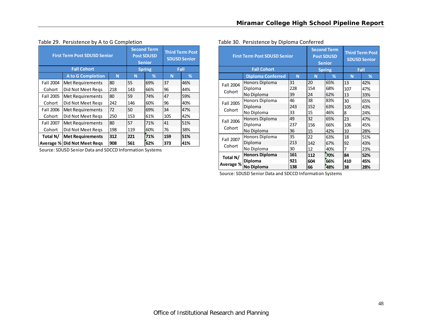|           | <b>First Term Post SDUSD Senior</b> |     |     | <b>Second Term</b><br><b>Post SDUSD</b><br><b>Senior</b> | <b>Third Term Post</b><br><b>SDUSD Senior</b> |      |  |
|-----------|-------------------------------------|-----|-----|----------------------------------------------------------|-----------------------------------------------|------|--|
|           | <b>Fall Cohort</b>                  |     |     | <b>Spring</b>                                            |                                               | Fall |  |
|           | <b>A to G Completion</b>            | N   | N   | %                                                        | N                                             | %    |  |
| Fall 2004 | Met Requirements                    | 80  | 55  | 69%                                                      | 37                                            | 46%  |  |
| Cohort    | Did Not Meet Regs                   | 218 | 143 | 66%                                                      | 96                                            | 44%  |  |
| Fall 2005 | <b>Met Requirements</b>             | 80  | 59  | 74%                                                      | 47                                            | 59%  |  |
| Cohort    | Did Not Meet Regs                   | 242 | 146 | 60%                                                      | 96                                            | 40%  |  |
| Fall 2006 | <b>Met Requirements</b>             | 72  | 50  | 69%                                                      | 34                                            | 47%  |  |
| Cohort    | Did Not Meet Regs                   | 250 | 153 | 61%                                                      | 105                                           | 42%  |  |
| Fall 2007 | <b>Met Requirements</b>             | 80  | 57  | 71%                                                      | 41                                            | 51%  |  |
| Cohort    | Did Not Meet Regs                   | 198 | 119 | 60%                                                      | 76                                            | 38%  |  |
| Total N/  | 312                                 | 221 | 71% | 159                                                      | 51%                                           |      |  |
| Average % | <b>Did Not Meet Regs</b>            | 908 | 561 | 62%                                                      | 373                                           | 41%  |  |

#### Table 29. Persistence by A to G

Source: SDUSD Senior Data and SDCCD Information Systems

|           | <b>First Term Post SDUSD Senior</b> |     |     | <b>Second Term</b><br><b>Post SDUSD</b><br><b>Senior</b> | <b>Third Term Post</b><br><b>SDUSD Senior</b> |     |  |
|-----------|-------------------------------------|-----|-----|----------------------------------------------------------|-----------------------------------------------|-----|--|
|           | <b>Fall Cohort</b>                  |     |     | <b>Spring</b>                                            | Fall                                          |     |  |
|           | <b>Diploma Conferred</b>            | N   | N   | %                                                        | N                                             | %   |  |
| Fall 2004 | Honors Diploma                      | 31  | 20  | 65%                                                      | 13                                            | 42% |  |
|           | Diploma                             | 228 | 154 | 68%                                                      | 107                                           | 47% |  |
| Cohort    | No Diploma                          | 39  | 24  | 62%                                                      | 13                                            | 33% |  |
| Fall 2005 | Honors Diploma                      | 46  | 38  | 83%                                                      | 30                                            | 65% |  |
|           | Diploma                             | 243 | 152 | 63%                                                      | 105                                           | 43% |  |
| Cohort    | No Diploma                          | 33  | 15  | 46%                                                      | 8                                             | 24% |  |
| Fall 2006 | Honors Diploma                      | 49  | 32  | 65%                                                      | 23                                            | 47% |  |
|           | Diploma                             | 237 | 156 | 66%                                                      | 106                                           | 45% |  |
| Cohort    | No Diploma                          | 36  | 15  | 42%                                                      | 10                                            | 28% |  |
| Fall 2007 | Honors Diploma                      | 35  | 22  | 63%                                                      | 18                                            | 51% |  |
|           | Diploma                             | 213 | 142 | 67%                                                      | 92                                            | 43% |  |
| Cohort    | No Diploma                          | 30  | 12  | 40%                                                      | 7                                             | 23% |  |
| Total N/  | <b>Honors Diploma</b>               | 161 | 112 | 70%                                                      | 84                                            | 52% |  |
|           | <b>Diploma</b>                      | 921 | 604 | 66%                                                      | 410                                           | 45% |  |
| Average % | No Diploma                          | 138 | 66  | 48%                                                      | 38                                            | 28% |  |

#### Table 30. Persistence by Diploma Conferred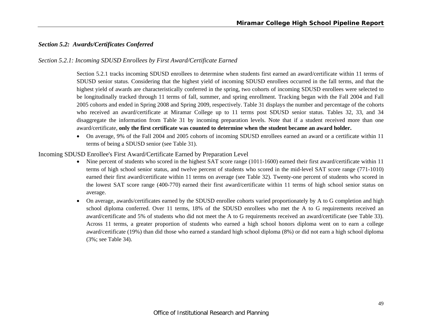# *Section 5.2: Awards/Certificates Conferred*

### *Section 5.2.1: Incoming SDUSD Enrollees by First Award/Certificate Earned*

Section 5.2.1 tracks incoming SDUSD enrollees to determine when students first earned an award/certificate within 11 terms of SDUSD senior status. Considering that the highest yield of incoming SDUSD enrollees occurred in the fall terms, and that the highest yield of awards are characteristically conferred in the spring, two cohorts of incoming SDUSD enrollees were selected to be longitudinally tracked through 11 terms of fall, summer, and spring enrollment. Tracking began with the Fall 2004 and Fall 2005 cohorts and ended in Spring 2008 and Spring 2009, respectively. Table 31 displays the number and percentage of the cohorts who received an award/certificate at Miramar College up to 11 terms post SDUSD senior status. Tables 32, 33, and 34 disaggregate the information from Table 31 by incoming preparation levels. Note that if a student received more than one award/certificate, **only the first certificate was counted to determine when the student became an award holder.**

 On average, 9% of the Fall 2004 and 2005 cohorts of incoming SDUSD enrollees earned an award or a certificate within 11 terms of being a SDUSD senior (see Table 31).

#### Incoming SDUSD Enrollee's First Award/Certificate Earned by Preparation Level

- Nine percent of students who scored in the highest SAT score range (1011-1600) earned their first award/certificate within 11 terms of high school senior status, and twelve percent of students who scored in the mid-level SAT score range (771-1010) earned their first award/certificate within 11 terms on average (see Table 32). Twenty-one percent of students who scored in the lowest SAT score range (400-770) earned their first award/certificate within 11 terms of high school senior status on average.
- 0 On average, awards/certificates earned by the SDUSD enrollee cohorts varied proportionately by A to G completion and high school diploma conferred. Over 11 terms, 18% of the SDUSD enrollees who met the A to G requirements received an award/certificate and 5% of students who did not meet the A to G requirements received an award/certificate (see Table 33). Across 11 terms, a greater proportion of students who earned a high school honors diploma went on to earn a college award/certificate (19%) than did those who earned a standard high school diploma (8%) or did not earn a high school diploma (3%; see Table 34).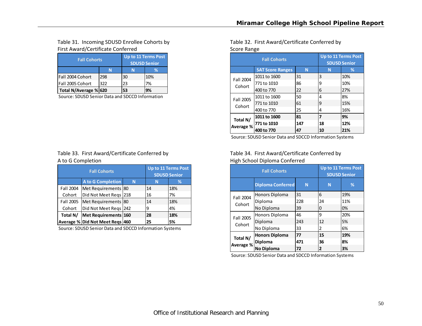# Table 31. Incoming SDUSD Enrollee Cohorts by First Award/Certificate Conferred **Score Range Score Range** Score Range

| <b>Fall Cohorts</b>   |     | Up to 11 Terms Post<br><b>SDUSD Senior</b> |     |  |  |  |  |
|-----------------------|-----|--------------------------------------------|-----|--|--|--|--|
|                       |     |                                            | ℅   |  |  |  |  |
| Fall 2004 Cohort      | 298 | 30                                         | 10% |  |  |  |  |
| Fall 2005 Cohort      | 322 | 23                                         | 7%  |  |  |  |  |
| Total N/Average % 620 |     | 53                                         | 9%  |  |  |  |  |

Source: SDUSD Senior Data and SDCCD Information

# Table 33. First Award/Certificate Conferred by A to G

|           | <b>Fall Cohorts</b>             |   |    | <b>Up to 11 Terms Post</b><br><b>SDUSD Senior</b> |
|-----------|---------------------------------|---|----|---------------------------------------------------|
|           | <b>A to G Completion</b>        | N |    | ℅                                                 |
| Fall 2004 | Met Requirements 80             |   | 14 | 18%                                               |
| Cohort    | Did Not Meet Regs 218           |   | 16 | 7%                                                |
| Fall 2005 | Met Requirements 80             |   | 14 | 18%                                               |
| Cohort    | Did Not Meet Regs 242           |   | 9  | 4%                                                |
| Total N/  | Met Requirements 160            |   | 28 | 18%                                               |
|           | Average % Did Not Meet Reqs 460 |   | 25 | 5%                                                |

Source: SDUSD Senior Data and SDCCD Information Systems

Table 32. First Award/Certificate Conferred by

|           | <b>Fall Cohorts</b>     |     | <b>Up to 11 Terms Post</b><br><b>SDUSD Senior</b> |     |  |  |
|-----------|-------------------------|-----|---------------------------------------------------|-----|--|--|
|           | <b>SAT Score Ranges</b> | N   | N                                                 | ℅   |  |  |
| Fall 2004 | 1011 to 1600            | 31  | 3                                                 | 10% |  |  |
| Cohort    | 771 to 1010             | 86  | 9                                                 | 10% |  |  |
|           | 400 to 770              | 22  | 6                                                 | 27% |  |  |
| Fall 2005 | 1011 to 1600            | 50  | 4                                                 | 8%  |  |  |
| Cohort    | 771 to 1010             | 61  | 9                                                 | 15% |  |  |
|           | 400 to 770              | 25  | 4                                                 | 16% |  |  |
| Total N/  | 1011 to 1600            | 81  | 7                                                 | 9%  |  |  |
| Average % | 771 to 1010             | 147 | 18                                                | 12% |  |  |
|           | 400 to 770              | 47  | 10                                                | 21% |  |  |

Source: SDUSD Senior Data and SDCCD Information Systems

# Table 34. First Award/Certificate Conferred by High School Diploma Conferred

|           | <b>Fall Cohorts</b>      | <b>Up to 11 Terms Post</b><br><b>SDUSD Senior</b> |    |     |
|-----------|--------------------------|---------------------------------------------------|----|-----|
|           | <b>Diploma Conferred</b> | N                                                 | N  | %   |
| Fall 2004 | <b>Honors Diploma</b>    | 31                                                | 6  | 19% |
| Cohort    | Diploma                  | 228                                               | 24 | 11% |
|           | No Diploma               | 39                                                | 0  | 0%  |
| Fall 2005 | Honors Diploma           | 46                                                | ٩  | 20% |
| Cohort    | Diploma                  | 243                                               | 12 | 5%  |
|           | No Diploma               | 33                                                | 2  | 6%  |
| Total N/  | <b>Honors Diploma</b>    | 77                                                | 15 | 19% |
| Average % | Diploma                  | 471                                               | 36 | 8%  |
|           | <b>No Diploma</b>        | 72                                                | 2  | 3%  |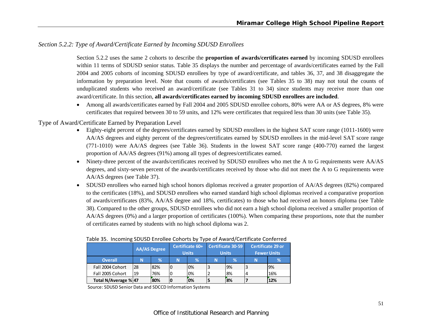# *Section 5.2.2: Type of Award/Certificate Earned by Incoming SDUSD Enrollees*

Section 5.2.2 uses the same 2 cohorts to describe the **proportion of awards/certificates earned** by incoming SDUSD enrollees within 11 terms of SDUSD senior status. Table 35 displays the number and percentage of awards/certificates earned by the Fall 2004 and 2005 cohorts of incoming SDUSD enrollees by type of award/certificate, and tables 36, 37, and 38 disaggregate the information by preparation level. Note that counts of awards/certificates (see Tables 35 to 38) may not total the counts of unduplicated students who received an award/certificate (see Tables 31 to 34) since students may receive more than one award/certificate. In this section, **all awards/certificates earned by incoming SDUSD enrollees are included**.

 Among all awards/certificates earned by Fall 2004 and 2005 SDUSD enrollee cohorts, 80% were AA or AS degrees, 8% were certificates that required between 30 to 59 units, and 12% were certificates that required less than 30 units (see Table 35).

# Type of Award/Certificate Earned by Preparation Level

- Eighty-eight percent of the degrees/certificates earned by SDUSD enrollees in the highest SAT score range (1011-1600) were AA/AS degrees and eighty percent of the degrees/certificates earned by SDUSD enrollees in the mid-level SAT score range (771-1010) were AA/AS degrees (see Table 36). Students in the lowest SAT score range (400-770) earned the largest proportion of AA/AS degrees (91%) among all types of degrees/certificates earned.
- $\bullet$  Ninety-three percent of the awards/certificates received by SDUSD enrollees who met the A to G requirements were AA/AS degrees, and sixty-seven percent of the awards/certificates received by those who did not meet the A to G requirements were AA/AS degrees (see Table 37).
- SDUSD enrollees who earned high school honors diplomas received a greater proportion of AA/AS degrees (82%) compared to the certificates (18%), and SDUSD enrollees who earned standard high school diplomas received a comparative proportion of awards/certificates (83%, AA/AS degree and 18%, certificates) to those who had received an honors diploma (see Table 38). Compared to the other groups, SDUSD enrollees who did not earn a high school diploma received a smaller proportion of AA/AS degrees (0%) and a larger proportion of certificates (100%). When comparing these proportions, note that the number of certificates earned by students with no high school diploma was 2.

|                      | <b>AA/AS Degree</b> |      | Certificate 60+<br><b>Units</b> |    | Certificate 30-59<br><b>Units</b> |     | Certificate 29 or<br><b>Fewer Units</b> |     |
|----------------------|---------------------|------|---------------------------------|----|-----------------------------------|-----|-----------------------------------------|-----|
| <b>Overall</b>       | 'N                  | $\%$ | N                               | 1% | N                                 | 1%  | N                                       | ℅   |
| Fall 2004 Cohort     | 28                  | 82%  | 0                               | 0% | 3                                 | 9%  |                                         | 9%  |
| Fall 2005 Cohort     | 19                  | 76%  |                                 | 0% |                                   | 18% |                                         | 16% |
| Total N/Average % 47 |                     | 80%  |                                 | 0% |                                   | 8%  |                                         | 12% |

#### Table 35. Incoming SDUSD Enrollee Cohorts by Type of Award/Certificate Conferred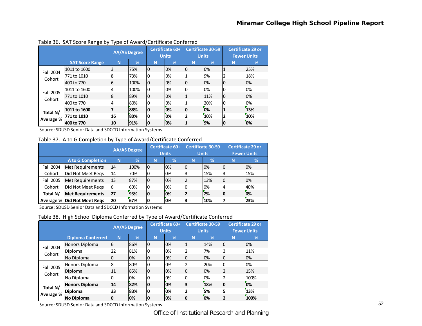|           |                        | <b>AA/AS Degree</b> |               | Certificate 60+<br><b>Units</b> |    | <b>Certificate 30-59</b><br><b>Units</b> |     | <b>Certificate 29 or</b><br><b>Fewer Units</b> |     |
|-----------|------------------------|---------------------|---------------|---------------------------------|----|------------------------------------------|-----|------------------------------------------------|-----|
|           | <b>SAT Score Range</b> | N                   | $\frac{9}{6}$ | 'N                              | %  | N                                        | %   | N                                              | %   |
| Fall 2004 | 1011 to 1600           | 3                   | 75%           | $\overline{0}$                  | 0% | I٥                                       | 0%  | $\mathbf{1}$                                   | 25% |
| Cohort    | 771 to 1010            | 8                   | 73%           | 0                               | 0% |                                          | 9%  | $\overline{2}$                                 | 18% |
|           | 400 to 770             | 6                   | 100%          | $\overline{0}$                  | 0% | 0                                        | 0%  | $\overline{0}$                                 | 0%  |
| Fall 2005 | 1011 to 1600           | 4                   | 100%          | 0                               | 0% |                                          | 0%  | $\Omega$                                       | 0%  |
| Cohort    | 771 to 1010            | 8                   | 89%           | 0                               | 0% |                                          | 11% | $\overline{0}$                                 | 0%  |
|           | 400 to 770             | $\overline{4}$      | 80%           | 0                               | 0% |                                          | 20% | $\mathbf{0}$                                   | 0%  |
| Total N/  | 1011 to 1600           | 7                   | 88%           | 0                               | 0% | 0                                        | 0%  | 1                                              | 13% |
|           | 771 to 1010            | 16                  | 80%           | 0                               | 0% | $\overline{\mathbf{2}}$                  | 10% | $\mathbf{2}$                                   | 10% |
| Average % | 400 to 770             | 10                  | 91%           | 0                               | 0% | 1                                        | 9%  | 0                                              | 10% |

Table 36. SAT Score Range by Type of Award/Certificate Conferred

Source: SDUSD Senior Data and SDCCD Information Systems

Table 37. A to G Completion by Type of Award/Certificate Conferred

|           |                                    | <b>AA/AS Degree</b> |      | Certificate 60+<br><b>Units</b> |    | <b>Certificate 30-59</b><br><b>Units</b> |     | Certificate 29 or  |     |
|-----------|------------------------------------|---------------------|------|---------------------------------|----|------------------------------------------|-----|--------------------|-----|
|           |                                    |                     |      |                                 |    |                                          |     | <b>Fewer Units</b> |     |
|           | <b>A to G Completion</b>           | N                   | %    | N                               | %  | N                                        | 1%  | N                  | ℅   |
| Fall 2004 | Met Requirements                   | 14                  | 100% | IО                              | 0% | 0                                        | 0%  | IО                 | 0%  |
| Cohort    | Did Not Meet Regs                  | 14                  | 70%  | 0                               | 0% | 3                                        | 15% | 3                  | 15% |
| Fall 2005 | Met Requirements                   | 13                  | 87%  | 0                               | 0% |                                          | 13% | 10                 | 0%  |
| Cohort    | Did Not Meet Regs                  | 6                   | 60%  | 0                               | 0% |                                          | 0%  | 4                  | 40% |
| Total N/  | <b>Met Requirements</b>            | 27                  | 93%  | 0                               | 0% | $\mathbf{2}$                             | 7%  | 10                 | 0%  |
|           | <b>Average % Did Not Meet Regs</b> | 20                  | 67%  | 0                               | 0% | 3                                        | 10% | ⇁                  | 23% |

Source: SDUSD Senior Data and SDCCD Information Systems

Table 38. High School Diploma Conferred by Type of Award/Certificate Conferred

|           |                          | <b>AA/AS Degree</b> |     | Certificate 60+<br><b>Units</b> |    | <b>Certificate 30-59</b><br><b>Units</b> |               | <b>Certificate 29 or</b><br><b>Fewer Units</b> |               |
|-----------|--------------------------|---------------------|-----|---------------------------------|----|------------------------------------------|---------------|------------------------------------------------|---------------|
|           | <b>Diploma Conferred</b> | N                   | %   | N                               | %  | N                                        | $\frac{1}{2}$ | N                                              | $\frac{9}{6}$ |
| Fall 2004 | Honors Diploma           | 6                   | 86% | 0                               | 0% |                                          | 14%           | I0                                             | 0%            |
| Cohort    | Diploma                  | 22                  | 81% | 0                               | 0% |                                          | 7%            | 3                                              | 11%           |
|           | No Diploma               | 0                   | 0%  | 0                               | 0% | 0                                        | 0%            | 10                                             | 0%            |
| Fall 2005 | Honors Diploma           | 8                   | 80% | 0                               | 0% |                                          | 20%           | 0                                              | 0%            |
| Cohort    | Diploma                  | 11                  | 85% | 0                               | 0% |                                          | 0%            | ∠                                              | 15%           |
|           | No Diploma               | 0                   | 0%  | 0                               | 0% |                                          | 0%            | 2                                              | 100%          |
| Total N/  | Honors Diploma           | 14                  | 82% | 0                               | 0% | 3                                        | 18%           | O                                              | 0%            |
|           | Diploma                  | 33                  | 83% | 0                               | 0% | 2                                        | 5%            | 15                                             | 13%           |
| Average % | No Diploma               | 0                   | 0%  | 0                               | 0% |                                          | 0%            | 12                                             | 100%          |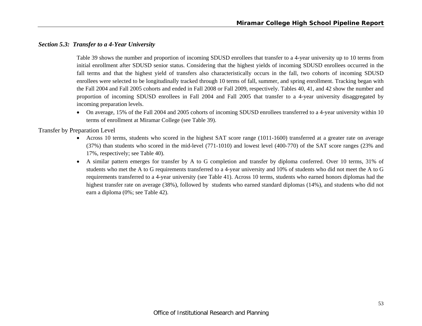# *Section 5.3: Transfer to a 4-Year University*

Table 39 shows the number and proportion of incoming SDUSD enrollees that transfer to a 4-year university up to 10 terms from initial enrollment after SDUSD senior status. Considering that the highest yields of incoming SDUSD enrollees occurred in the fall terms and that the highest yield of transfers also characteristically occurs in the fall, two cohorts of incoming SDUSD enrollees were selected to be longitudinally tracked through 10 terms of fall, summer, and spring enrollment. Tracking began with the Fall 2004 and Fall 2005 cohorts and ended in Fall 2008 or Fall 2009, respectively. Tables 40, 41, and 42 show the number and proportion of incoming SDUSD enrollees in Fall 2004 and Fall 2005 that transfer to a 4-year university disaggregated by incoming preparation levels.

 On average, 15% of the Fall 2004 and 2005 cohorts of incoming SDUSD enrollees transferred to a 4-year university within 10 terms of enrollment at Miramar College (see Table 39).

Transfer by Preparation Level

- Across 10 terms, students who scored in the highest SAT score range (1011-1600) transferred at a greater rate on average (37%) than students who scored in the mid-level (771-1010) and lowest level (400-770) of the SAT score ranges (23% and 17%, respectively; see Table 40).
- $\bullet$  A similar pattern emerges for transfer by A to G completion and transfer by diploma conferred. Over 10 terms, 31% of students who met the A to G requirements transferred to a 4-year university and 10% of students who did not meet the A to G requirements transferred to a 4-year university (see Table 41). Across 10 terms, students who earned honors diplomas had the highest transfer rate on average (38%), followed by students who earned standard diplomas (14%), and students who did not earn a diploma (0%; see Table 42).